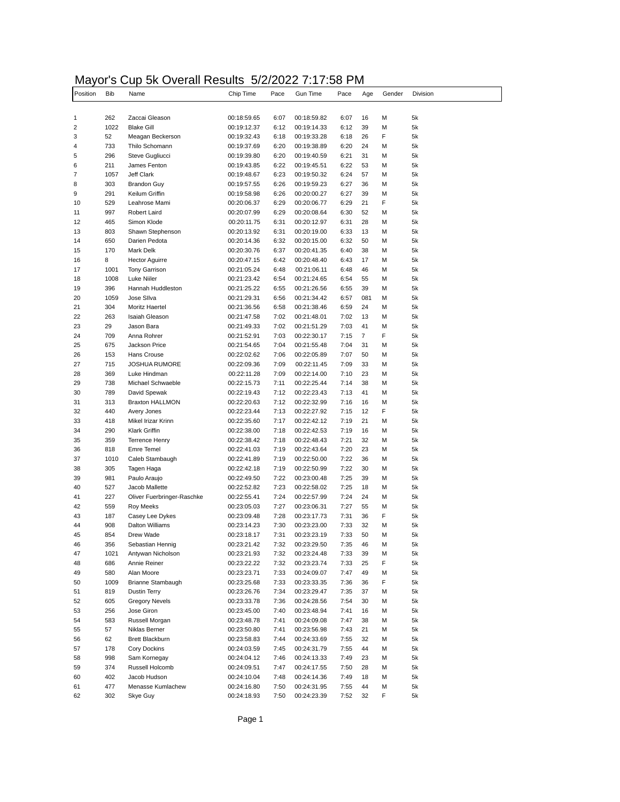#### Mayor's Cup 5k Overall Results 5/2/2022 7:17:58 PM

| Position                | <b>Bib</b>  | .<br>Name                        | Chip Time                  | Pace         | Gun Time                   | Pace         | Age      | Gender | Division |
|-------------------------|-------------|----------------------------------|----------------------------|--------------|----------------------------|--------------|----------|--------|----------|
|                         |             |                                  |                            |              |                            |              |          |        |          |
| 1                       | 262         | Zaccai Gleason                   | 00:18:59.65                | 6:07         | 00:18:59.82                | 6:07         | 16       | М      | 5k       |
| $\overline{\mathbf{c}}$ | 1022        | <b>Blake Gill</b>                | 00:19:12.37                | 6:12         | 00:19:14.33                | 6:12         | 39       | М      | 5k       |
| 3                       | 52          | Meagan Beckerson                 | 00:19:32.43                | 6:18         | 00:19:33.28                | 6:18         | 26       | F      | 5k       |
| 4                       | 733         | Thilo Schomann                   | 00:19:37.69                | 6:20         | 00:19:38.89                | 6:20         | 24       | М      | 5k       |
| 5                       | 296         | Steve Gugliucci                  | 00:19:39.80                | 6:20         | 00:19:40.59                | 6:21         | 31       | M      | 5k       |
| 6                       | 211         | James Fenton                     | 00:19:43.85                | 6:22         | 00:19:45.51                | 6:22         | 53       | М      | 5k       |
| 7                       | 1057        | Jeff Clark                       | 00:19:48.67                | 6:23         | 00:19:50.32                | 6:24         | 57       | M      | 5k       |
| 8                       | 303         | <b>Brandon Guy</b>               | 00:19:57.55                | 6:26         | 00:19:59.23                | 6:27         | 36       | М      | 5k       |
| 9                       | 291         | Keilum Griffin                   | 00:19:58.98                | 6:26         | 00:20:00.27                | 6:27         | 39       | M      | 5k       |
| 10                      | 529         | Leahrose Mami                    | 00:20:06.37                | 6:29         | 00:20:06.77                | 6:29         | 21       | F      | 5k       |
| 11                      | 997         | Robert Laird                     | 00:20:07.99                | 6:29         | 00:20:08.64                | 6:30         | 52       | М      | 5k       |
| 12                      | 465         | Simon Klode                      | 00:20:11.75                | 6:31         | 00:20:12.97                | 6:31         | 28       | M      | 5k       |
| 13                      | 803         | Shawn Stephenson                 | 00:20:13.92                | 6:31         | 00:20:19.00                | 6:33         | 13       | M      | 5k       |
| 14                      | 650         | Darien Pedota                    | 00:20:14.36                | 6:32         | 00:20:15.00                | 6:32         | 50       | M      | 5k       |
| 15                      | 170         | Mark Delk                        | 00:20:30.76                | 6:37         | 00:20:41.35                | 6:40         | 38       | М      | 5k       |
| 16                      | 8           | <b>Hector Aguirre</b>            | 00:20:47.15                | 6:42         | 00:20:48.40                | 6:43         | 17       | M      | 5k       |
| 17                      | 1001        | <b>Tony Garrison</b>             | 00:21:05.24                | 6:48         | 00:21:06.11                | 6:48         | 46       | М      | 5k       |
| 18<br>19                | 1008<br>396 | Luke Niiler<br>Hannah Huddleston | 00:21:23.42<br>00:21:25.22 | 6:54<br>6:55 | 00:21:24.65<br>00:21:26.56 | 6:54<br>6:55 | 55<br>39 | M<br>М | 5k<br>5k |
| 20                      | 1059        | Jose Sllva                       | 00:21:29.31                | 6:56         | 00:21:34.42                | 6:57         | 081      | М      | 5k       |
| 21                      | 304         | Moritz Haertel                   | 00:21:36.56                | 6:58         | 00:21:38.46                | 6:59         | 24       | M      | 5k       |
| 22                      | 263         | Isaiah Gleason                   | 00:21:47.58                | 7:02         | 00:21:48.01                | 7:02         | 13       | M      | 5k       |
| 23                      | 29          | Jason Bara                       | 00:21:49.33                | 7:02         | 00:21:51.29                | 7:03         | 41       | M      | 5k       |
| 24                      | 709         | Anna Rohrer                      | 00:21:52.91                | 7:03         | 00:22:30.17                | 7:15         | 7        | F      | 5k       |
| 25                      | 675         | Jackson Price                    | 00:21:54.65                | 7:04         | 00:21:55.48                | 7:04         | 31       | М      | 5k       |
| 26                      | 153         | Hans Crouse                      | 00:22:02.62                | 7:06         | 00:22:05.89                | 7:07         | 50       | М      | 5k       |
| 27                      | 715         | <b>JOSHUA RUMORE</b>             | 00:22:09.36                | 7:09         | 00:22:11.45                | 7:09         | 33       | М      | 5k       |
| 28                      | 369         | Luke Hindman                     | 00:22:11.28                | 7:09         | 00:22:14.00                | 7:10         | 23       | М      | 5k       |
| 29                      | 738         | Michael Schwaeble                | 00:22:15.73                | 7:11         | 00:22:25.44                | 7:14         | 38       | М      | 5k       |
| 30                      | 789         | David Spewak                     | 00:22:19.43                | 7:12         | 00:22:23.43                | 7:13         | 41       | M      | 5k       |
| 31                      | 313         | <b>Braxton HALLMON</b>           | 00:22:20.63                | 7:12         | 00:22:32.99                | 7:16         | 16       | М      | 5k       |
| 32                      | 440         | Avery Jones                      | 00:22:23.44                | 7:13         | 00:22:27.92                | 7:15         | 12       | F      | 5k       |
| 33                      | 418         | Mikel Irizar Krinn               | 00:22:35.60                | 7:17         | 00:22:42.12                | 7:19         | 21       | М      | 5k       |
| 34                      | 290         | <b>Klark Griffin</b>             | 00:22:38.00                | 7:18         | 00:22:42.53                | 7:19         | 16       | М      | 5k       |
| 35                      | 359         | <b>Terrence Henry</b>            | 00:22:38.42                | 7:18         | 00:22:48.43                | 7:21         | 32       | М      | 5k       |
| 36                      | 818         | <b>Emre Temel</b>                | 00:22:41.03                | 7:19         | 00:22:43.64                | 7:20         | 23       | M      | 5k       |
| 37                      | 1010        | Caleb Stambaugh                  | 00:22:41.89                | 7:19         | 00:22:50.00                | 7:22         | 36       | М      | 5k       |
| 38                      | 305         | Tagen Haga                       | 00:22:42.18                | 7:19         | 00:22:50.99                | 7:22         | 30       | M      | 5k       |
| 39                      | 981         | Paulo Araujo                     | 00:22:49.50                | 7:22         | 00:23:00.48                | 7:25         | 39       | M      | 5k       |
| 40                      | 527         | Jacob Mallette                   | 00:22:52.82                | 7:23         | 00:22:58.02                | 7:25         | 18       | М      | 5k       |
| 41                      | 227         | Oliver Fuerbringer-Raschke       | 00:22:55.41                | 7:24         | 00:22:57.99                | 7:24         | 24       | М      | 5k       |
| 42                      | 559         | Roy Meeks                        | 00:23:05.03                | 7:27         | 00:23:06.31                | 7:27         | 55       | М      | 5k       |
| 43                      | 187         | Casey Lee Dykes                  | 00:23:09.48                | 7:28         | 00:23:17.73                | 7:31         | 36       | F      | 5k       |
| 44<br>45                | 908<br>854  | Dalton Williams                  | 00:23:14.23<br>00:23:18.17 | 7:30<br>7:31 | 00:23:23.00<br>00:23:23.19 | 7:33<br>7:33 | 32<br>50 | М<br>М | 5k<br>5k |
| 46                      | 356         | Drew Wade<br>Sebastian Hennig    | 00:23:21.42                | 7:32         | 00:23:29.50                | 7:35         | 46       | М      | 5k       |
| 47                      | 1021        | Antywan Nicholson                | 00:23:21.93                | 7:32         | 00:23:24.48                | 7:33         | 39       | М      | 5k       |
| 48                      | 686         | Annie Reiner                     | 00:23:22.22                | 7:32         | 00:23:23.74                | 7:33         | 25       | F      | 5k       |
| 49                      | 580         | Alan Moore                       | 00:23:23.71                | 7:33         | 00:24:09.07                | 7:47         | 49       | М      | 5k       |
| 50                      | 1009        | Brianne Stambaugh                | 00:23:25.68                | 7:33         | 00:23:33.35                | 7:36         | 36       | F      | 5k       |
| 51                      | 819         | <b>Dustin Terry</b>              | 00:23:26.76                | 7:34         | 00:23:29.47                | 7:35         | 37       | М      | 5k       |
| 52                      | 605         | <b>Gregory Nevels</b>            | 00:23:33.78                | 7:36         | 00:24:28.56                | 7:54         | 30       | М      | 5k       |
| 53                      | 256         | Jose Giron                       | 00:23:45.00                | 7:40         | 00:23:48.94                | 7:41         | 16       | М      | 5k       |
| 54                      | 583         | Russell Morgan                   | 00:23:48.78                | 7:41         | 00:24:09.08                | 7:47         | 38       | М      | 5k       |
| 55                      | 57          | Niklas Berner                    | 00:23:50.80                | 7:41         | 00:23:56.98                | 7:43         | 21       | М      | 5k       |
| 56                      | 62          | Brett Blackburn                  | 00:23:58.83                | 7:44         | 00:24:33.69                | 7:55         | 32       | М      | 5k       |
| 57                      | 178         | Cory Dockins                     | 00:24:03.59                | 7:45         | 00:24:31.79                | 7:55         | 44       | М      | 5k       |
| 58                      | 998         | Sam Kornegay                     | 00:24:04.12                | 7:46         | 00:24:13.33                | 7:49         | 23       | М      | 5k       |
| 59                      | 374         | Russell Holcomb                  | 00:24:09.51                | 7:47         | 00:24:17.55                | 7:50         | 28       | М      | 5k       |
| 60                      | 402         | Jacob Hudson                     | 00:24:10.04                | 7:48         | 00:24:14.36                | 7:49         | 18       | М      | 5k       |
| 61                      | 477         | Menasse Kumlachew                | 00:24:16.80                | 7:50         | 00:24:31.95                | 7:55         | 44       | М      | 5k       |
| 62                      | 302         | Skye Guy                         | 00:24:18.93                | 7:50         | 00:24:23.39                | 7:52         | 32       | F      | 5k       |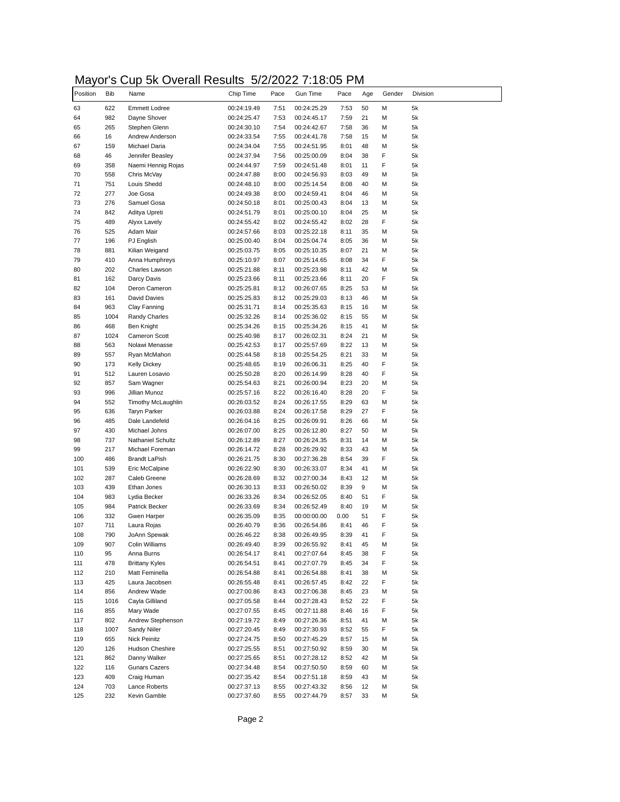# Mayor's Cup 5k Overall Results 5/2/2022 7:18:05 PM

| Position | <b>Bib</b> | Name                     | Chip Time   | Pace | <b>Gun Time</b> | Pace | Age | Gender | Division |
|----------|------------|--------------------------|-------------|------|-----------------|------|-----|--------|----------|
| 63       | 622        | <b>Emmett Lodree</b>     | 00:24:19.49 | 7:51 | 00:24:25.29     | 7:53 | 50  | М      | 5k       |
|          | 982        | Dayne Shover             | 00:24:25.47 | 7:53 | 00:24:45.17     | 7:59 | 21  | М      | 5k       |
|          | 265        | Stephen Glenn            | 00:24:30.10 | 7:54 | 00:24:42.67     | 7:58 | 36  | М      | 5k       |
|          | 16         | Andrew Anderson          | 00:24:33.54 | 7:55 | 00:24:41.78     | 7:58 | 15  | М      | 5k       |
|          | 159        | Michael Daria            | 00:24:34.04 | 7:55 | 00:24:51.95     | 8:01 | 48  | М      | 5k       |
|          | 46         | Jennifer Beasley         | 00:24:37.94 | 7:56 | 00:25:00.09     | 8:04 | 38  | F      | 5k       |
|          | 358        | Naemi Hennig Rojas       | 00:24:44.97 | 7:59 | 00:24:51.48     | 8:01 | 11  | F      | 5k       |
|          | 558        | Chris McVay              | 00:24:47.88 | 8:00 | 00:24:56.93     | 8:03 | 49  | М      | 5k       |
|          | 751        | Louis Shedd              | 00:24:48.10 | 8:00 | 00:25:14.54     | 8:08 | 40  | М      | 5k       |
|          | 277        | Joe Gosa                 | 00:24:49.38 | 8:00 | 00:24:59.41     | 8:04 | 46  | М      | 5k       |
|          | 276        | Samuel Gosa              | 00:24:50.18 | 8:01 | 00:25:00.43     | 8:04 | 13  | м      | 5k       |
|          | 842        | Aditya Upreti            | 00:24:51.79 | 8:01 | 00:25:00.10     | 8:04 | 25  | М      | 5k       |
|          | 489        | Alyxx Lavely             | 00:24:55.42 | 8:02 | 00:24:55.42     | 8:02 | 28  | F      | 5k       |
|          | 525        | Adam Mair                | 00:24:57.66 | 8:03 | 00:25:22.18     | 8:11 | 35  | М      | 5k       |
|          | 196        | PJ English               | 00:25:00.40 | 8:04 | 00:25:04.74     | 8:05 | 36  | М      | 5k       |
|          | 881        | Kilian Weigand           | 00:25:03.75 | 8:05 | 00:25:10.35     | 8:07 | 21  | М      | 5k       |
|          | 410        | Anna Humphreys           | 00:25:10.97 | 8:07 | 00:25:14.65     | 8:08 | 34  | F      | 5k       |
|          | 202        | Charles Lawson           | 00:25:21.88 | 8:11 | 00:25:23.98     | 8:11 | 42  | М      | 5k       |
|          | 162        | Darcy Davis              | 00:25:23.66 | 8:11 | 00:25:23.66     | 8:11 | 20  | F      | 5k       |
|          | 104        | Deron Cameron            | 00:25:25.81 | 8:12 | 00:26:07.65     | 8:25 | 53  | М      | 5k       |
|          | 161        | <b>David Davies</b>      | 00:25:25.83 | 8:12 | 00:25:29.03     | 8:13 | 46  | М      | 5k       |
|          | 963        | Clay Fanning             | 00:25:31.71 | 8:14 | 00:25:35.63     | 8:15 | 16  | М      | 5k       |
|          | 1004       | Randy Charles            | 00:25:32.26 | 8:14 | 00:25:36.02     | 8:15 | 55  | М      | 5k       |
|          | 468        | <b>Ben Knight</b>        | 00:25:34.26 | 8:15 | 00:25:34.26     | 8:15 | 41  | м      | 5k       |
|          | 1024       | <b>Cameron Scott</b>     | 00:25:40.98 | 8:17 | 00:26:02.31     | 8:24 | 21  | М      | 5k       |
|          |            |                          | 00:25:42.53 |      |                 |      |     |        |          |
|          | 563        | Nolawi Menasse           |             | 8:17 | 00:25:57.69     | 8:22 | 13  | М      | 5k       |
|          | 557        | Ryan McMahon             | 00:25:44.58 | 8:18 | 00:25:54.25     | 8:21 | 33  | М      | 5k       |
|          | 173        | <b>Kelly Dickey</b>      | 00:25:48.65 | 8:19 | 00:26:06.31     | 8:25 | 40  | F      | 5k       |
|          | 512        | Lauren Losavio           | 00:25:50.28 | 8:20 | 00:26:14.99     | 8:28 | 40  | F      | 5k       |
|          | 857        | Sam Wagner               | 00:25:54.63 | 8:21 | 00:26:00.94     | 8:23 | 20  | М      | 5k       |
|          | 996        | Jillian Munoz            | 00:25:57.16 | 8:22 | 00:26:16.40     | 8:28 | 20  | F      | 5k       |
|          | 552        | Timothy McLaughlin       | 00:26:03.52 | 8:24 | 00:26:17.55     | 8:29 | 63  | М      | 5k       |
|          | 636        | <b>Taryn Parker</b>      | 00:26:03.88 | 8:24 | 00:26:17.58     | 8:29 | 27  | F      | 5k       |
|          | 485        | Dale Landefeld           | 00:26:04.16 | 8:25 | 00:26:09.91     | 8:26 | 66  | М      | 5k       |
|          | 430        | Michael Johns            | 00:26:07.00 | 8:25 | 00:26:12.80     | 8:27 | 50  | М      | 5k       |
|          | 737        | <b>Nathaniel Schultz</b> | 00:26:12.89 | 8:27 | 00:26:24.35     | 8:31 | 14  | м      | 5k       |
|          | 217        | Michael Foreman          | 00:26:14.72 | 8:28 | 00:26:29.92     | 8:33 | 43  | М      | 5k       |
| 100      | 486        | <b>Brandt LaPish</b>     | 00:26:21.75 | 8:30 | 00:27:36.28     | 8:54 | 39  | F      | 5k       |
| 101      | 539        | Eric McCalpine           | 00:26:22.90 | 8:30 | 00:26:33.07     | 8:34 | 41  | М      | 5k       |
| 102      | 287        | Caleb Greene             | 00:26:28.69 | 8:32 | 00:27:00.34     | 8:43 | 12  | м      | 5k       |
| 103      | 439        | Ethan Jones              | 00:26:30.13 | 8:33 | 00:26:50.02     | 8:39 | 9   | M      | 5k       |
| 104      | 983        | Lydia Becker             | 00:26:33.26 | 8:34 | 00:26:52.05     | 8:40 | 51  | F      | 5k       |
| 105      | 984        | Patrick Becker           | 00:26:33.69 | 8:34 | 00:26:52.49     | 8:40 | 19  | М      | 5k       |
| 106      | 332        | Gwen Harper              | 00:26:35.09 | 8:35 | 00:00:00.00     | 0.00 | 51  | F      | 5k       |
| 107      | 711        | Laura Rojas              | 00:26:40.79 | 8:36 | 00:26:54.86     | 8:41 | 46  | F      | 5k       |
| 108      | 790        | JoAnn Spewak             | 00:26:46.22 | 8:38 | 00:26:49.95     | 8:39 | 41  | F      | 5k       |
| 109      | 907        | Colin Williams           | 00:26:49.40 | 8:39 | 00:26:55.92     | 8:41 | 45  | М      | 5k       |
| 110      | 95         | Anna Burns               | 00:26:54.17 | 8:41 | 00:27:07.64     | 8:45 | 38  | F      | 5k       |
| 111      | 478        | <b>Brittany Kyles</b>    | 00:26:54.51 | 8:41 | 00:27:07.79     | 8:45 | 34  | F      | 5k       |
| 112      | 210        | Matt Feminella           | 00:26:54.88 | 8:41 | 00:26:54.88     | 8:41 | 38  | м      | 5k       |
| 113      | 425        | Laura Jacobsen           | 00:26:55.48 | 8:41 | 00:26:57.45     | 8:42 | 22  | F      | 5k       |
| 114      | 856        | Andrew Wade              | 00:27:00.86 | 8:43 | 00:27:06.38     | 8:45 | 23  | М      | 5k       |
| 115      | 1016       | Cayla Gilliland          | 00:27:05.58 | 8:44 | 00:27:28.43     | 8:52 | 22  | F      | 5k       |
| 116      | 855        | Mary Wade                | 00:27:07.55 | 8:45 | 00:27:11.88     | 8:46 | 16  | F      | 5k       |
| 117      | 802        | Andrew Stephenson        | 00:27:19.72 | 8:49 | 00:27:26.36     | 8:51 | 41  | М      | 5k       |
| 118      | 1007       | Sandy Niiler             | 00:27:20.45 | 8:49 | 00:27:30.93     | 8:52 | 55  | F      | 5k       |
|          |            | Nick Peinitz             |             |      | 00:27:45.29     |      |     |        |          |
| 119      | 655        |                          | 00:27:24.75 | 8:50 |                 | 8:57 | 15  | М      | 5k       |
| 120      | 126        | Hudson Cheshire          | 00:27:25.55 | 8:51 | 00:27:50.92     | 8:59 | 30  | М      | 5k       |
| 121      | 862        | Danny Walker             | 00:27:25.65 | 8:51 | 00:27:28.12     | 8:52 | 42  | М      | 5k       |
| 122      | 116        | <b>Gunars Cazers</b>     | 00:27:34.48 | 8:54 | 00:27:50.50     | 8:59 | 60  | М      | 5k       |
| 123      | 409        | Craig Human              | 00:27:35.42 | 8:54 | 00:27:51.18     | 8:59 | 43  | М      | 5k       |
| 124      | 703        | Lance Roberts            | 00:27:37.13 | 8:55 | 00:27:43.32     | 8:56 | 12  | М      | 5k       |
| 125      | 232        | Kevin Gamble             | 00:27:37.60 | 8:55 | 00:27:44.79     | 8:57 | 33  | М      | 5k       |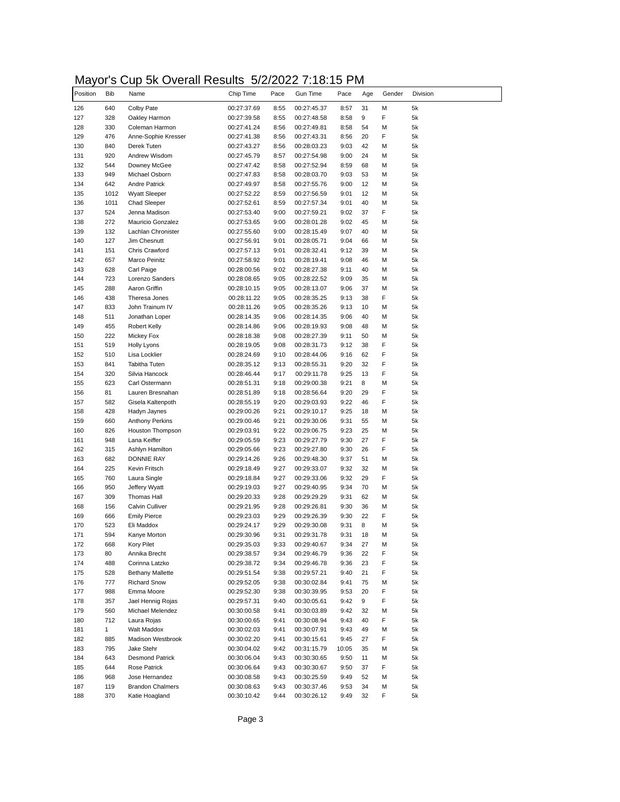# Mayor's Cup 5k Overall Results 5/2/2022 7:18:15 PM

| Position | <b>Bib</b>   | Name                    | Chip Time   | Pace | Gun Time    | Pace  | Age | Gender | Division |
|----------|--------------|-------------------------|-------------|------|-------------|-------|-----|--------|----------|
| 126      | 640          | Colby Pate              | 00:27:37.69 | 8:55 | 00:27:45.37 | 8:57  | 31  | М      | 5k       |
| 127      | 328          | Oakley Harmon           | 00:27:39.58 | 8:55 | 00:27:48.58 | 8:58  | 9   | F      | 5k       |
| 128      | 330          | Coleman Harmon          | 00:27:41.24 | 8:56 | 00:27:49.81 | 8:58  | 54  | М      | 5k       |
| 129      | 476          | Anne-Sophie Kresser     | 00:27:41.38 | 8:56 | 00:27:43.31 | 8:56  | 20  | F      | 5k       |
| 130      | 840          | Derek Tuten             | 00:27:43.27 | 8:56 | 00:28:03.23 | 9:03  | 42  | М      | 5k       |
| 131      | 920          | Andrew Wisdom           | 00:27:45.79 | 8:57 | 00:27:54.98 | 9:00  | 24  | М      | 5k       |
| 132      | 544          | Downey McGee            | 00:27:47.42 | 8:58 | 00:27:52.94 | 8:59  | 68  | М      | 5k       |
| 133      | 949          | Michael Osborn          | 00:27:47.83 | 8:58 | 00:28:03.70 | 9:03  | 53  | М      | 5k       |
| 134      | 642          | <b>Andre Patrick</b>    | 00:27:49.97 | 8:58 | 00:27:55.76 | 9:00  | 12  | М      | 5k       |
| 135      | 1012         | <b>Wyatt Sleeper</b>    | 00:27:52.22 | 8:59 | 00:27:56.59 | 9:01  | 12  | М      | 5k       |
| 136      | 1011         | <b>Chad Sleeper</b>     | 00:27:52.61 | 8:59 | 00:27:57.34 | 9:01  | 40  | М      | 5k       |
| 137      | 524          | Jenna Madison           | 00:27:53.40 | 9:00 | 00:27:59.21 | 9:02  | 37  | F      | 5k       |
| 138      | 272          | Mauricio Gonzalez       | 00:27:53.65 | 9:00 | 00:28:01.28 | 9:02  | 45  | М      | 5k       |
| 139      | 132          | Lachlan Chronister      | 00:27:55.60 | 9:00 | 00:28:15.49 | 9:07  | 40  | М      | 5k       |
| 140      | 127          | Jim Chesnutt            | 00:27:56.91 | 9:01 | 00:28:05.71 | 9:04  | 66  | М      | 5k       |
| 141      | 151          | Chris Crawford          | 00:27:57.13 | 9:01 | 00:28:32.41 | 9:12  | 39  | М      | 5k       |
| 142      | 657          | Marco Peinitz           | 00:27:58.92 | 9:01 | 00:28:19.41 | 9:08  | 46  | М      | 5k       |
| 143      | 628          | Carl Paige              | 00:28:00.56 | 9:02 | 00:28:27.38 | 9:11  | 40  | М      | 5k       |
| 144      | 723          | Lorenzo Sanders         | 00:28:08.65 | 9:05 | 00:28:22.52 | 9:09  | 35  | М      | 5k       |
| 145      | 288          | Aaron Griffin           | 00:28:10.15 | 9:05 | 00:28:13.07 | 9:06  | 37  | М      | 5k       |
| 146      | 438          | Theresa Jones           | 00:28:11.22 | 9:05 | 00:28:35.25 | 9:13  | 38  | F      | 5k       |
| 147      | 833          | John Trainum IV         | 00:28:11.26 | 9:05 | 00:28:35.26 | 9:13  | 10  | М      | 5k       |
| 148      | 511          | Jonathan Loper          | 00:28:14.35 | 9:06 | 00:28:14.35 | 9:06  | 40  | М      | 5k       |
| 149      | 455          | <b>Robert Kelly</b>     | 00:28:14.86 | 9:06 | 00:28:19.93 | 9:08  | 48  | М      | 5k       |
| 150      | 222          | Mickey Fox              | 00:28:18.38 | 9:08 | 00:28:27.39 | 9:11  | 50  | М      | 5k       |
| 151      | 519          | Holly Lyons             | 00:28:19.05 | 9:08 | 00:28:31.73 | 9:12  | 38  | F      | 5k       |
| 152      | 510          | Lisa Locklier           | 00:28:24.69 | 9:10 | 00:28:44.06 | 9:16  | 62  | F      | 5k       |
| 153      | 841          | <b>Tabitha Tuten</b>    | 00:28:35.12 | 9:13 | 00:28:55.31 | 9:20  | 32  | F      | 5k       |
| 154      | 320          | Silvia Hancock          | 00:28:46.44 | 9:17 | 00:29:11.78 | 9:25  | 13  | F      | 5k       |
| 155      | 623          | Carl Ostermann          | 00:28:51.31 | 9:18 | 00:29:00.38 | 9:21  | 8   | М      | 5k       |
| 156      | 81           | Lauren Bresnahan        | 00:28:51.89 | 9:18 | 00:28:56.64 | 9:20  | 29  | F      | 5k       |
| 157      | 582          | Gisela Kaltenpoth       | 00:28:55.19 | 9:20 | 00:29:03.93 | 9:22  | 46  | F      | 5k       |
| 158      | 428          | Hadyn Jaynes            | 00:29:00.26 | 9:21 | 00:29:10.17 | 9:25  | 18  | М      | 5k       |
| 159      | 660          | <b>Anthony Perkins</b>  | 00:29:00.46 | 9:21 | 00:29:30.06 | 9:31  | 55  | М      | 5k       |
| 160      | 826          | Houston Thompson        | 00:29:03.91 | 9:22 | 00:29:06.75 | 9:23  | 25  | М      | 5k       |
| 161      | 948          | Lana Keiffer            | 00:29:05.59 | 9:23 | 00:29:27.79 | 9:30  | 27  | F      | 5k       |
| 162      | 315          | Ashlyn Hamilton         | 00:29:05.66 | 9:23 | 00:29:27.80 | 9:30  | 26  | F      | 5k       |
| 163      | 682          | <b>DONNIE RAY</b>       | 00:29:14.26 | 9:26 | 00:29:48.30 | 9:37  | 51  | М      | 5k       |
| 164      | 225          | Kevin Fritsch           | 00:29:18.49 | 9:27 | 00:29:33.07 | 9:32  | 32  | М      | 5k       |
| 165      | 760          | Laura Single            | 00:29:18.84 | 9:27 | 00:29:33.06 | 9:32  | 29  | F      | 5k       |
| 166      | 950          | Jeffery Wyatt           | 00:29:19.03 | 9:27 | 00:29:40.95 | 9:34  | 70  | М      | 5k       |
| 167      | 309          | Thomas Hall             | 00:29:20.33 | 9:28 | 00:29:29.29 | 9:31  | 62  | М      | 5k       |
| 168      | 156          | Calvin Culliver         | 00:29:21.95 | 9:28 | 00:29:26.81 | 9:30  | 36  | М      | 5k       |
| 169      | 666          | <b>Emily Pierce</b>     | 00:29:23.03 | 9:29 | 00:29:26.39 | 9:30  | 22  | F      | 5k       |
| 170      | 523          | Eli Maddox              | 00:29:24.17 | 9:29 | 00:29:30.08 | 9:31  | 8   | м      | 5k       |
| 171      | 594          | Kanye Morton            | 00:29:30.96 | 9:31 | 00:29:31.78 | 9:31  | 18  | м      | 5k       |
| 172      | 668          | Kory Pilet              | 00:29:35.03 | 9:33 | 00:29:40.67 | 9:34  | 27  | М      | 5k       |
| 173      | 80           | Annika Brecht           | 00:29:38.57 | 9:34 | 00:29:46.79 | 9:36  | 22  | F      | 5k       |
| 174      | 488          | Corinna Latzko          | 00:29:38.72 | 9:34 | 00:29:46.78 | 9:36  | 23  | F      | 5k       |
| 175      | 528          | <b>Bethany Mallette</b> | 00:29:51.54 | 9:38 | 00:29:57.21 | 9:40  | 21  | F      | 5k       |
| 176      | 777          | <b>Richard Snow</b>     | 00:29:52.05 | 9:38 | 00:30:02.84 | 9:41  | 75  | М      | 5k       |
| 177      | 988          | Emma Moore              | 00:29:52.30 | 9:38 | 00:30:39.95 | 9:53  | 20  | F      | 5k       |
| 178      | 357          | Jael Hennig Rojas       | 00:29:57.31 | 9:40 | 00:30:05.61 | 9:42  | 9   | F      | 5k       |
| 179      | 560          | Michael Melendez        | 00:30:00.58 | 9:41 | 00:30:03.89 | 9:42  | 32  | М      | 5k       |
| 180      | 712          | Laura Rojas             | 00:30:00.65 | 9:41 | 00:30:08.94 | 9:43  | 40  | F      | 5k       |
| 181      | $\mathbf{1}$ | Walt Maddox             | 00:30:02.03 | 9:41 | 00:30:07.91 | 9:43  | 49  | М      | 5k       |
| 182      | 885          | Madison Westbrook       | 00:30:02.20 | 9:41 | 00:30:15.61 | 9:45  | 27  | F      | 5k       |
| 183      | 795          | Jake Stehr              | 00:30:04.02 | 9:42 | 00:31:15.79 | 10:05 | 35  | М      | 5k       |
| 184      | 643          | <b>Desmond Patrick</b>  | 00:30:06.04 | 9:43 | 00:30:30.65 | 9:50  | 11  | М      | 5k       |
| 185      | 644          | Rose Patrick            | 00:30:06.64 | 9:43 | 00:30:30.67 | 9:50  | 37  | F      | 5k       |
| 186      | 968          | Jose Hernandez          | 00:30:08.58 | 9:43 | 00:30:25.59 | 9:49  | 52  | М      | 5k       |
| 187      | 119          | <b>Brandon Chalmers</b> | 00:30:08.63 | 9:43 | 00:30:37.46 | 9:53  | 34  | М      | 5k       |
|          | 370          | Katie Hoagland          | 00:30:10.42 | 9:44 | 00:30:26.12 | 9:49  | 32  | F      | 5k       |
| 188      |              |                         |             |      |             |       |     |        |          |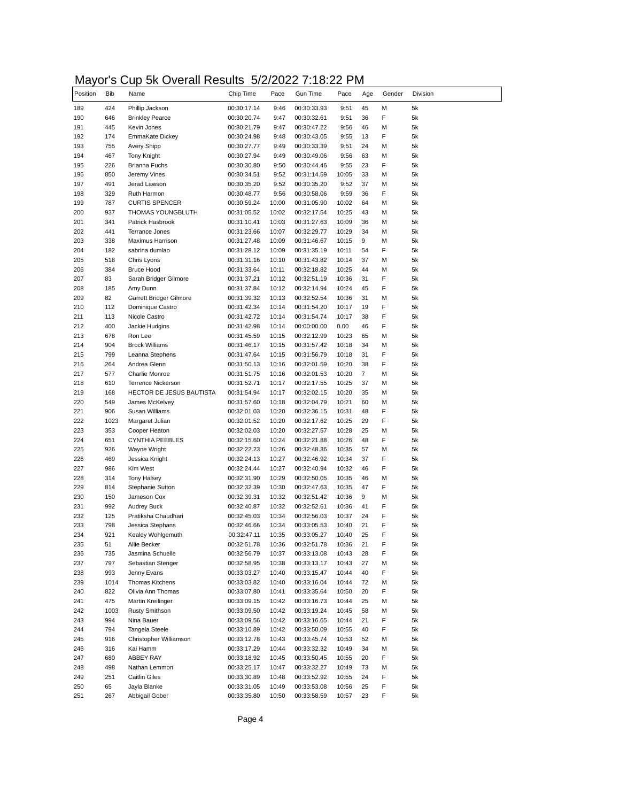#### Mayor's Cup 5k Overall Results 5/2/2022 7:18:22 PM

| Position   | <b>Bib</b> | Name                              | Chip Time                  | Pace           | Gun Time                   | Pace           | Age            | Gender | Division |
|------------|------------|-----------------------------------|----------------------------|----------------|----------------------------|----------------|----------------|--------|----------|
| 189        | 424        | Phillip Jackson                   | 00:30:17.14                | 9:46           | 00:30:33.93                | 9:51           | 45             | М      | 5k       |
| 190        | 646        | <b>Brinkley Pearce</b>            | 00:30:20.74                | 9:47           | 00:30:32.61                | 9:51           | 36             | F      | 5k       |
| 191        | 445        | Kevin Jones                       | 00:30:21.79                | 9:47           | 00:30:47.22                | 9:56           | 46             | М      | 5k       |
| 192        | 174        | EmmaKate Dickey                   | 00:30:24.98                | 9:48           | 00:30:43.05                | 9:55           | 13             | F      | 5k       |
| 193        | 755        | Avery Shipp                       | 00:30:27.77                | 9:49           | 00:30:33.39                | 9:51           | 24             | М      | 5k       |
| 194        | 467        | Tony Knight                       | 00:30:27.94                | 9:49           | 00:30:49.06                | 9:56           | 63             | М      | 5k       |
| 195        | 226        | <b>Brianna Fuchs</b>              | 00:30:30.80                | 9:50           | 00:30:44.46                | 9:55           | 23             | F      | 5k       |
| 196        | 850        | Jeremy Vines                      | 00:30:34.51                | 9:52           | 00:31:14.59                | 10:05          | 33             | М      | 5k       |
| 197        | 491        | Jerad Lawson                      | 00:30:35.20                | 9:52           | 00:30:35.20                | 9:52           | 37             | М      | 5k       |
| 198        | 329        | Ruth Harmon                       | 00:30:48.77                | 9:56           | 00:30:58.06                | 9:59           | 36             | F      | 5k       |
| 199        | 787        | <b>CURTIS SPENCER</b>             | 00:30:59.24                | 10:00          | 00:31:05.90                | 10:02          | 64             | М      | 5k       |
| 200<br>201 | 937        | <b>THOMAS YOUNGBLUTH</b>          | 00:31:05.52                | 10:02          | 00:32:17.54                | 10:25          | 43             | М      | 5k       |
|            | 341        | Patrick Hasbrook                  | 00:31:10.41                | 10:03          | 00:31:27.63                | 10:09          | 36             | М      | 5k       |
| 202        | 441        | Terrance Jones                    | 00:31:23.66                | 10:07          | 00:32:29.77                | 10:29          | 34             | М      | 5k       |
| 203        | 338        | Maximus Harrison                  | 00:31:27.48                | 10:09          | 00:31:46.67                | 10:15          | 9              | М<br>F | 5k       |
| 204        | 182        | sabrina dumlao                    | 00:31:28.12                | 10:09          | 00:31:35.19                | 10:11          | 54             |        | 5k       |
| 205<br>206 | 518        | Chris Lyons                       | 00:31:31.16                | 10:10          | 00:31:43.82                | 10:14          | 37<br>44       | М      | 5k       |
|            | 384        | <b>Bruce Hood</b>                 | 00:31:33.64                | 10:11          | 00:32:18.82                | 10:25          |                | М<br>F | 5k       |
| 207<br>208 | 83         | Sarah Bridger Gilmore             | 00:31:37.21                | 10:12<br>10:12 | 00:32:51.19                | 10:36          | 31             | F      | 5k       |
|            | 185        | Amy Dunn                          | 00:31:37.84                |                | 00:32:14.94                | 10:24          | 45             |        | 5k       |
| 209<br>210 | 82<br>112  | Garrett Bridger Gilmore           | 00:31:39.32                | 10:13          | 00:32:52.54                | 10:36          | 31<br>19       | М<br>F | 5k<br>5k |
| 211        | 113        | Dominique Castro<br>Nicole Castro | 00:31:42.34<br>00:31:42.72 | 10:14<br>10:14 | 00:31:54.20<br>00:31:54.74 | 10:17<br>10:17 | 38             | F      | 5k       |
|            | 400        | Jackie Hudgins                    | 00:31:42.98                | 10:14          | 00:00:00.00                | 0.00           | 46             | F      | 5k       |
| 212<br>213 | 678        | Ron Lee                           | 00:31:45.59                | 10:15          | 00:32:12.99                | 10:23          | 65             | М      | 5k       |
| 214        | 904        | <b>Brock Williams</b>             | 00:31:46.17                | 10:15          | 00:31:57.42                | 10:18          | 34             | М      | 5k       |
| 215        | 799        | Leanna Stephens                   | 00:31:47.64                | 10:15          | 00:31:56.79                | 10:18          | 31             | F      | 5k       |
| 216        | 264        | Andrea Glenn                      | 00:31:50.13                | 10:16          | 00:32:01.59                | 10:20          | 38             | F      | 5k       |
| 217        | 577        | <b>Charlie Monroe</b>             | 00:31:51.75                | 10:16          | 00:32:01.53                | 10:20          | $\overline{7}$ | М      | 5k       |
| 218        | 610        | Terrence Nickerson                | 00:31:52.71                | 10:17          | 00:32:17.55                | 10:25          | 37             | М      | 5k       |
| 219        | 168        | HECTOR DE JESUS BAUTISTA          | 00:31:54.94                | 10:17          | 00:32:02.15                | 10:20          | 35             | М      | 5k       |
|            | 549        | James McKelvey                    | 00:31:57.60                | 10:18          | 00:32:04.79                | 10:21          | 60             | М      | 5k       |
| 220<br>221 | 906        | Susan Williams                    | 00:32:01.03                | 10:20          | 00:32:36.15                | 10:31          | 48             | F      | 5k       |
| 222        | 1023       | Margaret Julian                   | 00:32:01.52                | 10:20          | 00:32:17.62                | 10:25          | 29             | F      | 5k       |
| 223        | 353        | Cooper Heaton                     | 00:32:02.03                | 10:20          | 00:32:27.57                | 10:28          | 25             | М      | 5k       |
| 224        | 651        | <b>CYNTHIA PEEBLES</b>            | 00:32:15.60                | 10:24          | 00:32:21.88                | 10:26          | 48             | F      | 5k       |
| 225        | 926        | Wayne Wright                      | 00:32:22.23                | 10:26          | 00:32:48.36                | 10:35          | 57             | М      | 5k       |
| 226        | 469        | Jessica Knight                    | 00:32:24.13                | 10:27          | 00:32:46.92                | 10:34          | 37             | F      | 5k       |
| 227        | 986        | Kim West                          | 00:32:24.44                | 10:27          | 00:32:40.94                | 10:32          | 46             | F      | 5k       |
| 228        | 314        | <b>Tony Halsey</b>                | 00:32:31.90                | 10:29          | 00:32:50.05                | 10:35          | 46             | M      | 5k       |
| 229        | 814        | Stephanie Sutton                  | 00:32:32.39                | 10:30          | 00:32:47.63                | 10:35          | 47             | F      | 5k       |
| 230        | 150        | Jameson Cox                       | 00:32:39.31                | 10:32          | 00:32:51.42                | 10:36          | 9              | M      | 5k       |
| 231        | 992        | Audrey Buck                       | 00:32:40.87                | 10:32          | 00:32:52.61                | 10:36          | 41             | F      | 5k       |
| 232        | 125        | Pratiksha Chaudhari               | 00:32:45.03                | 10:34          | 00:32:56.03                | 10:37          | 24             | F      | 5k       |
| 233        | 798        | Jessica Stephans                  | 00:32:46.66                | 10:34          | 00:33:05.53                | 10:40          | 21             | F      | 5k       |
| 234        | 921        | Kealey Wohlgemuth                 | 00:32:47.11                | 10:35          | 00:33:05.27                | 10:40          | 25             | F      | 5k       |
| 235        | 51         | Allie Becker                      | 00:32:51.78                | 10:36          | 00:32:51.78                | 10:36          | 21             | F      | 5k       |
| 236        | 735        | Jasmina Schuelle                  | 00:32:56.79                | 10:37          | 00:33:13.08                | 10:43          | 28             | F      | 5k       |
| 237        | 797        | Sebastian Stenger                 | 00:32:58.95                | 10:38          | 00:33:13.17                | 10:43          | 27             | М      | 5k       |
| 238        | 993        | Jenny Evans                       | 00:33:03.27                | 10:40          | 00:33:15.47                | 10:44          | 40             | F      | 5k       |
| 239        | 1014       | Thomas Kitchens                   | 00:33:03.82                | 10:40          | 00:33:16.04                | 10:44          | 72             | М      | 5k       |
| 240        | 822        | Olivia Ann Thomas                 | 00:33:07.80                | 10:41          | 00:33:35.64                | 10:50          | 20             | F      | 5k       |
| 241        | 475        | Martin Kreilinger                 | 00:33:09.15                | 10:42          | 00:33:16.73                | 10:44          | 25             | М      | 5k       |
| 242        | 1003       | <b>Rusty Smithson</b>             | 00:33:09.50                | 10:42          | 00:33:19.24                | 10:45          | 58             | М      | 5k       |
| 243        | 994        | Nina Bauer                        | 00:33:09.56                | 10:42          | 00:33:16.65                | 10:44          | 21             | F      | 5k       |
| 244        | 794        | Tangela Steele                    | 00:33:10.89                | 10:42          | 00:33:50.09                | 10:55          | 40             | F      | 5k       |
| 245        | 916        | Christopher Williamson            | 00:33:12.78                | 10:43          | 00:33:45.74                | 10:53          | 52             | М      | 5k       |
| 246        | 316        | Kai Hamm                          | 00:33:17.29                | 10:44          | 00:33:32.32                | 10:49          | 34             | М      | 5k       |
| 247        | 680        | ABBEY RAY                         | 00:33:18.92                | 10:45          | 00:33:50.45                | 10:55          | 20             | F      | 5k       |
| 248        | 498        | Nathan Lemmon                     | 00:33:25.17                | 10:47          | 00:33:32.27                | 10:49          | 73             | М      | 5k       |
| 249        | 251        | <b>Caitlin Giles</b>              | 00:33:30.89                | 10:48          | 00:33:52.92                | 10:55          | 24             | F      | 5k       |
| 250        | 65         | Jayla Blanke                      | 00:33:31.05                | 10:49          | 00:33:53.08                | 10:56          | 25             | F      | 5k       |
| 251        | 267        | Abbigail Gober                    | 00:33:35.80                | 10:50          | 00:33:58.59                | 10:57          | 23             | F      | 5k       |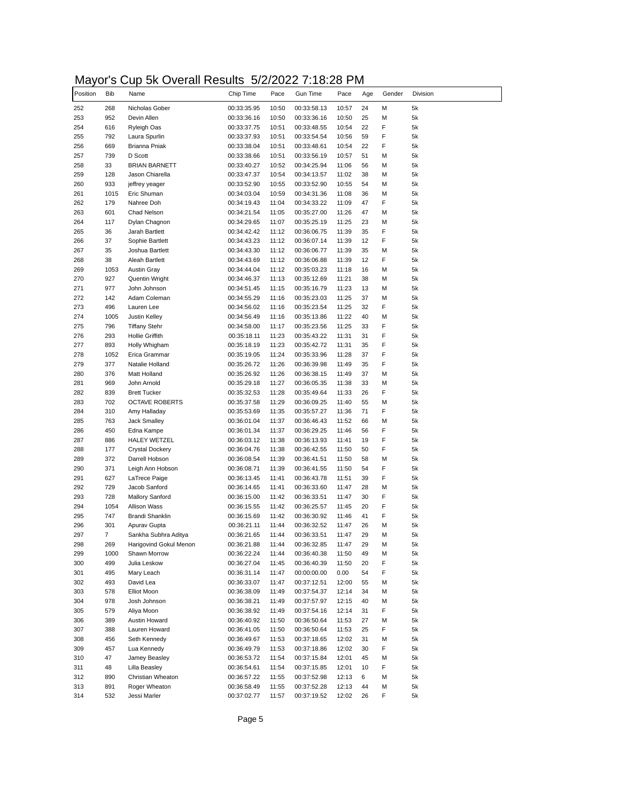# Mayor's Cup 5k Overall Results 5/2/2022 7:18:28 PM

| Position   | <b>Bib</b>  | Name                                   | Chip Time                  | Pace           | Gun Time                   | Pace           | Age      | Gender | Division |
|------------|-------------|----------------------------------------|----------------------------|----------------|----------------------------|----------------|----------|--------|----------|
| 252        | 268         | Nicholas Gober                         | 00:33:35.95                | 10:50          | 00:33:58.13                | 10:57          | 24       | М      | 5k       |
| 253        | 952         | Devin Allen                            | 00:33:36.16                | 10:50          | 00:33:36.16                | 10:50          | 25       | М      | 5k       |
| 254        | 616         | Ryleigh Oas                            | 00:33:37.75                | 10:51          | 00:33:48.55                | 10:54          | 22       | F      | 5k       |
| 255        | 792         | Laura Spurlin                          | 00:33:37.93                | 10:51          | 00:33:54.54                | 10:56          | 59       | F      | 5k       |
| 256        | 669         | Brianna Pniak                          | 00:33:38.04                | 10:51          | 00:33:48.61                | 10:54          | 22       | F      | 5k       |
| 257        | 739         | D Scott                                | 00:33:38.66                | 10:51          | 00:33:56.19                | 10:57          | 51       | М      | 5k       |
| 258        | 33          | <b>BRIAN BARNETT</b>                   | 00:33:40.27                | 10:52          | 00:34:25.94                | 11:06          | 56       | М      | 5k       |
| 259        | 128         | Jason Chiarella                        | 00:33:47.37                | 10:54          | 00:34:13.57                | 11:02          | 38       | М      | 5k       |
| 260        | 933         | jeffrey yeager                         | 00:33:52.90                | 10:55          | 00:33:52.90                | 10:55          | 54       | М      | 5k       |
| 261        | 1015        | Eric Shuman                            | 00:34:03.04                | 10:59          | 00:34:31.36                | 11:08          | 36       | М      | 5k       |
| 262        | 179         | Nahree Doh                             | 00:34:19.43                | 11:04          | 00:34:33.22                | 11:09          | 47       | F      | 5k       |
| 263        | 601         | Chad Nelson                            | 00:34:21.54                | 11:05          | 00:35:27.00                | 11:26          | 47       | М      | 5k       |
| 264        | 117         | Dylan Chagnon                          | 00:34:29.65                | 11:07          | 00:35:25.19                | 11:25          | 23       | М      | 5k       |
| 265        | 36          | Jarah Bartlett                         | 00:34:42.42                | 11:12          | 00:36:06.75                | 11:39          | 35       | F      | 5k       |
| 266        | 37          | Sophie Bartlett                        | 00:34:43.23                | 11:12          | 00:36:07.14                | 11:39          | 12       | F      | 5k       |
| 267        | 35          | Joshua Bartlett                        | 00:34:43.30                | 11:12          | 00:36:06.77                | 11:39          | 35       | М      | 5k       |
| 268        | 38          | Aleah Bartlett                         | 00:34:43.69                | 11:12          | 00:36:06.88                | 11:39          | 12       | F      | 5k       |
| 269        | 1053        | <b>Austin Gray</b>                     | 00:34:44.04                | 11:12          | 00:35:03.23                | 11:18          | 16       | М      | 5k       |
| 270        | 927         | Quentin Wright                         | 00:34:46.37                | 11:13          | 00:35:12.69                | 11:21          | 38       | М      | 5k       |
| 271        | 977         | John Johnson                           | 00:34:51.45                | 11:15          | 00:35:16.79                | 11:23          | 13       | М      | 5k       |
| 272        | 142         | Adam Coleman                           | 00:34:55.29                | 11:16          | 00:35:23.03                | 11:25          | 37       | М      | 5k       |
| 273        | 496         | Lauren Lee                             | 00:34:56.02                | 11:16          | 00:35:23.54                | 11:25          | 32       | F      | 5k       |
| 274        | 1005        | Justin Kelley                          | 00:34:56.49                | 11:16          | 00:35:13.86                | 11:22          | 40       | M      | 5k       |
| 275        | 796         | <b>Tiffany Stehr</b>                   | 00:34:58.00                | 11:17          | 00:35:23.56                | 11:25          | 33       | F      | 5k       |
| 276        | 293         | <b>Hollie Griffith</b>                 | 00:35:18.11                | 11:23          | 00:35:43.22                | 11:31          | 31       | F      | 5k       |
| 277        | 893         | Holly Whigham                          | 00:35:18.19                | 11:23          | 00:35:42.72                | 11:31          | 35       | F      | 5k       |
| 278        | 1052        | Erica Grammar                          | 00:35:19.05                | 11:24          | 00:35:33.96                | 11:28          | 37       | F      | 5k       |
| 279        | 377         | Natalie Holland                        | 00:35:26.72                | 11:26          | 00:36:39.98                | 11:49          | 35       | F      | 5k       |
| 280        | 376         | Matt Holland                           | 00:35:26.92                | 11:26          | 00:36:38.15                | 11:49          | 37       | М      | 5k       |
| 281        | 969         | John Arnold                            | 00:35:29.18                | 11:27          | 00:36:05.35                | 11:38          | 33       | М      | 5k       |
| 282        | 839         | <b>Brett Tucker</b>                    | 00:35:32.53                | 11:28          | 00:35:49.64                | 11:33          | 26       | F      | 5k       |
| 283        | 702         | <b>OCTAVE ROBERTS</b>                  | 00:35:37.58                | 11:29          | 00:36:09.25                | 11:40          | 55       | М      | 5k       |
| 284        | 310         | Amy Halladay                           | 00:35:53.69                | 11:35          | 00:35:57.27                | 11:36          | 71       | F      | 5k       |
| 285        | 763         | Jack Smalley                           | 00:36:01.04                | 11:37          | 00:36:46.43                | 11:52          | 66       | М      | 5k       |
| 286        | 450         | Edna Kampe                             | 00:36:01.34                | 11:37          | 00:36:29.25                | 11:46          | 56       | F      | 5k       |
| 287        | 886         | <b>HALEY WETZEL</b>                    | 00:36:03.12                | 11:38          | 00:36:13.93                | 11:41          | 19       | F      | 5k       |
| 288        | 177         | <b>Crystal Dockery</b>                 | 00:36:04.76                | 11:38          | 00:36:42.55                | 11:50          | 50       | F      | 5k       |
| 289        | 372         | Darrell Hobson                         | 00:36:08.54                | 11:39          | 00:36:41.51                | 11:50          | 58       | М      | 5k       |
| 290        | 371         | Leigh Ann Hobson                       | 00:36:08.71                | 11:39          | 00:36:41.55                | 11:50          | 54       | F      | 5k       |
| 291        | 627         | LaTrece Paige                          | 00:36:13.45                | 11:41          | 00:36:43.78                | 11:51          | 39       | F      | 5k       |
| 292        | 729         | Jacob Sanford                          | 00:36:14.65                | 11:41          | 00:36:33.60                | 11:47          | 28       | M      | 5k       |
| 293        | 728         | <b>Mallory Sanford</b>                 | 00:36:15.00                | 11:42          | 00:36:33.51                | 11:47          | 30       | F      | 5k       |
| 294        | 1054        | Allison Wass                           | 00:36:15.55                | 11:42          | 00:36:25.57                | 11:45          | 20       | F      | 5k       |
| 295<br>296 | 747         | Brandi Shanklin                        | 00:36:15.69                | 11:42          | 00:36:30.92                | 11:46          | 41       | F      | 5k       |
|            | 301         | Apurav Gupta                           | 00:36:21.11                | 11:44          | 00:36:32.52                | 11:47          | 26       | M      | 5k       |
| 297        | 7           | Sankha Subhra Aditya                   | 00:36:21.65                | 11:44          | 00:36:33.51                | 11:47          | 29       | м      | 5k       |
| 298<br>299 | 269         | Harigovind Gokul Menon<br>Shawn Morrow | 00:36:21.88                | 11:44          | 00:36:32.85                | 11:47          | 29       | М      | 5k       |
|            | 1000<br>499 | Julia Leskow                           | 00:36:22.24                | 11:44          | 00:36:40.38                | 11:50          | 49       | М<br>F | 5k<br>5k |
| 300<br>301 | 495         | Mary Leach                             | 00:36:27.04<br>00:36:31.14 | 11:45<br>11:47 | 00:36:40.39                | 11:50          | 20<br>54 | F      | 5k       |
| 302        | 493         | David Lea                              |                            |                | 00:00:00.00                | 0.00<br>12:00  | 55       | М      | 5k       |
|            |             | Elliot Moon                            | 00:36:33.07                | 11:47          | 00:37:12.51                |                | 34       |        | 5k       |
| 303        | 578         | Josh Johnson                           | 00:36:38.09                | 11:49          | 00:37:54.37                | 12:14          |          | М      | 5k       |
| 304        | 978         | Aliya Moon                             | 00:36:38.21                | 11:49          | 00:37:57.97                | 12:15          | 40       | М<br>F | 5k       |
| 305<br>306 | 579         |                                        | 00:36:38.92                | 11:49          | 00:37:54.16                | 12:14          | 31       |        |          |
|            | 389         | Austin Howard<br>Lauren Howard         | 00:36:40.92                | 11:50          | 00:36:50.64<br>00:36:50.64 | 11:53          | 27       | М      | 5k       |
| 307        | 388         |                                        | 00:36:41.05                | 11:50          |                            | 11:53          | 25       | F      | 5k       |
| 308        | 456         | Seth Kennedy                           | 00:36:49.67                | 11:53          | 00:37:18.65                | 12:02          | 31       | М      | 5k       |
| 309        | 457         | Lua Kennedy                            | 00:36:49.79                | 11:53          | 00:37:18.86                | 12:02          | 30       | F      | 5k       |
| 310<br>311 | 47          | Jamey Beasley<br>Lilla Beasley         | 00:36:53.72                | 11:54          | 00:37:15.84                | 12:01          | 45       | М<br>F | 5k<br>5k |
|            | 48<br>890   | Christian Wheaton                      | 00:36:54.61                | 11:54          | 00:37:15.85                | 12:01<br>12:13 | 10<br>6  | М      | 5k       |
| 312<br>313 | 891         | Roger Wheaton                          | 00:36:57.22                | 11:55          | 00:37:52.98                |                | 44       | М      | 5k       |
|            |             |                                        | 00:36:58.49                | 11:55          | 00:37:52.28                | 12:13          |          | F      |          |
| 314        | 532         | Jessi Marler                           | 00:37:02.77                | 11:57          | 00:37:19.52                | 12:02          | 26       |        | 5k       |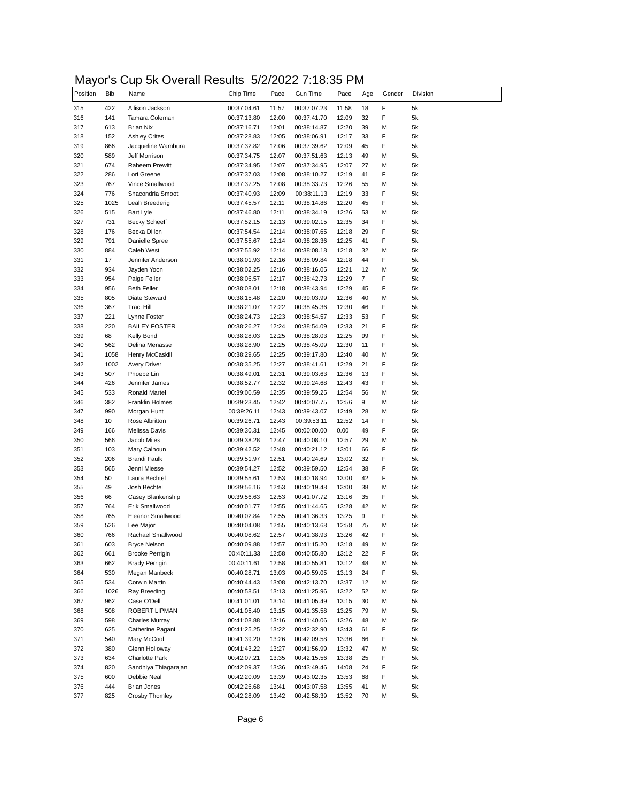# Mayor's Cup 5k Overall Results 5/2/2022 7:18:35 PM

| Position   | Bib        | Name                                | Chip Time                  | Pace           | Gun Time                   | Pace           | Age            | Gender | Division |
|------------|------------|-------------------------------------|----------------------------|----------------|----------------------------|----------------|----------------|--------|----------|
| 315        | 422        | Allison Jackson                     | 00:37:04.61                | 11:57          | 00:37:07.23                | 11:58          | 18             | F      | 5k       |
| 316        | 141        | Tamara Coleman                      | 00:37:13.80                | 12:00          | 00:37:41.70                | 12:09          | 32             | F      | 5k       |
| 317        | 613        | <b>Brian Nix</b>                    | 00:37:16.71                | 12:01          | 00:38:14.87                | 12:20          | 39             | M      | 5k       |
| 318        | 152        | <b>Ashley Crites</b>                | 00:37:28.83                | 12:05          | 00:38:06.91                | 12:17          | 33             | F      | 5k       |
| 319        | 866        | Jacqueline Wambura                  | 00:37:32.82                | 12:06          | 00:37:39.62                | 12:09          | 45             | F      | 5k       |
| 320        | 589        | Jeff Morrison                       | 00:37:34.75                | 12:07          | 00:37:51.63                | 12:13          | 49             | М      | 5k       |
| 321        | 674        | <b>Raheem Prewitt</b>               | 00:37:34.95                | 12:07          | 00:37:34.95                | 12:07          | 27             | М      | 5k       |
| 322        | 286        | Lori Greene                         | 00:37:37.03                | 12:08          | 00:38:10.27                | 12:19          | 41             | F      | 5k       |
| 323        | 767        | Vince Smallwood                     | 00:37:37.25                | 12:08          | 00:38:33.73                | 12:26          | 55             | М      | 5k       |
| 324        | 776        | Shacondria Smoot                    | 00:37:40.93                | 12:09          | 00:38:11.13                | 12:19          | 33             | F      | 5k       |
| 325        | 1025       | Leah Breederig                      | 00:37:45.57                | 12:11          | 00:38:14.86                | 12:20          | 45             | F      | 5k       |
| 326        | 515        | <b>Bart Lyle</b>                    | 00:37:46.80                | 12:11          | 00:38:34.19                | 12:26          | 53             | М      | 5k       |
| 327        | 731        | <b>Becky Scheeff</b>                | 00:37:52.15                | 12:13          | 00:39:02.15                | 12:35          | 34             | F      | 5k       |
| 328        | 176        | Becka Dillon                        | 00:37:54.54                | 12:14          | 00:38:07.65                | 12:18          | 29             | F<br>F | 5k       |
| 329<br>330 | 791        | Danielle Spree<br><b>Caleb West</b> | 00:37:55.67                | 12:14<br>12:14 | 00:38:28.36                | 12:25          | 41<br>32       |        | 5k       |
|            | 884        |                                     | 00:37:55.92                |                | 00:38:08.18                | 12:18          |                | М<br>F | 5k       |
| 331<br>332 | 17         | Jennifer Anderson                   | 00:38:01.93                | 12:16          | 00:38:09.84                | 12:18<br>12:21 | 44<br>12       |        | 5k       |
|            | 934<br>954 | Jayden Yoon                         | 00:38:02.25                | 12:16          | 00:38:16.05<br>00:38:42.73 |                | $\overline{7}$ | М<br>F | 5k       |
| 333<br>334 | 956        | Paige Feller<br><b>Beth Feller</b>  | 00:38:06.57<br>00:38:08.01 | 12:17          |                            | 12:29<br>12:29 | 45             | F      | 5k<br>5k |
| 335        | 805        | Diate Steward                       | 00:38:15.48                | 12:18<br>12:20 | 00:38:43.94<br>00:39:03.99 | 12:36          | 40             | М      | 5k       |
| 336        | 367        | Traci Hill                          | 00:38:21.07                | 12:22          | 00:38:45.36                | 12:30          | 46             | F      | 5k       |
| 337        | 221        | Lynne Foster                        | 00:38:24.73                | 12:23          | 00:38:54.57                | 12:33          | 53             | F      | 5k       |
| 338        | 220        | <b>BAILEY FOSTER</b>                | 00:38:26.27                | 12:24          | 00:38:54.09                | 12:33          | 21             | F      | 5k       |
| 339        | 68         | Kelly Bond                          | 00:38:28.03                | 12:25          | 00:38:28.03                | 12:25          | 99             | F      | 5k       |
| 340        | 562        | Delina Menasse                      | 00:38:28.90                | 12:25          | 00:38:45.09                | 12:30          | 11             | F      | 5k       |
| 341        | 1058       | Henry McCaskill                     | 00:38:29.65                | 12:25          | 00:39:17.80                | 12:40          | 40             | M      | 5k       |
| 342        | 1002       | <b>Avery Driver</b>                 | 00:38:35.25                | 12:27          | 00:38:41.61                | 12:29          | 21             | F      | 5k       |
| 343        | 507        | Phoebe Lin                          | 00:38:49.01                | 12:31          | 00:39:03.63                | 12:36          | 13             | F      | 5k       |
| 344        | 426        | Jennifer James                      | 00:38:52.77                | 12:32          | 00:39:24.68                | 12:43          | 43             | F      | 5k       |
| 345        | 533        | <b>Ronald Martel</b>                | 00:39:00.59                | 12:35          | 00:39:59.25                | 12:54          | 56             | М      | 5k       |
| 346        | 382        | Franklin Holmes                     | 00:39:23.45                | 12:42          | 00:40:07.75                | 12:56          | 9              | М      | 5k       |
| 347        | 990        | Morgan Hunt                         | 00:39:26.11                | 12:43          | 00:39:43.07                | 12:49          | 28             | M      | 5k       |
| 348        | 10         | Rose Albritton                      | 00:39:26.71                | 12:43          | 00:39:53.11                | 12:52          | 14             | F      | 5k       |
| 349        | 166        | Melissa Davis                       | 00:39:30.31                | 12:45          | 00:00:00.00                | 0.00           | 49             | F      | 5k       |
| 350        | 566        | Jacob Miles                         | 00:39:38.28                | 12:47          | 00:40:08.10                | 12:57          | 29             | M      | 5k       |
| 351        | 103        | Mary Calhoun                        | 00:39:42.52                | 12:48          | 00:40:21.12                | 13:01          | 66             | F      | 5k       |
| 352        | 206        | Brandi Faulk                        | 00:39:51.97                | 12:51          | 00:40:24.69                | 13:02          | 32             | F      | 5k       |
| 353        | 565        | Jenni Miesse                        | 00:39:54.27                | 12:52          | 00:39:59.50                | 12:54          | 38             | F      | 5k       |
| 354        | 50         | Laura Bechtel                       | 00:39:55.61                | 12:53          | 00:40:18.94                | 13:00          | 42             | F      | 5k       |
| 355        | 49         | Josh Bechtel                        | 00:39:56.16                | 12:53          | 00:40:19.48                | 13:00          | 38             | М      | 5k       |
| 356        | 66         | Casey Blankenship                   | 00:39:56.63                | 12:53          | 00:41:07.72                | 13:16          | 35             | F      | 5k       |
| 357        | 764        | Erik Smallwood                      | 00:40:01.77                | 12:55          | 00:41:44.65                | 13:28          | 42             | М      | 5k       |
| 358        | 765        | Eleanor Smallwood                   | 00:40:02.84                | 12:55          | 00:41:36.33                | 13:25          | 9              | F      | 5k       |
| 359        | 526        | Lee Major                           | 00:40:04.08                | 12:55          | 00:40:13.68                | 12:58          | 75             | м      | 5k       |
| 360        | 766        | Rachael Smallwood                   | 00:40:08.62                | 12:57          | 00:41:38.93                | 13:26          | 42             | F      | 5k       |
| 361        | 603        | <b>Bryce Nelson</b>                 | 00:40:09.88                | 12:57          | 00:41:15.20                | 13:18          | 49             | М      | 5k       |
| 362        | 661        | <b>Brooke Perrigin</b>              | 00:40:11.33                | 12:58          | 00:40:55.80                | 13:12          | 22             | F      | 5k       |
| 363        | 662        | <b>Brady Perrigin</b>               | 00:40:11.61                | 12:58          | 00:40:55.81                | 13:12          | 48             | М      | 5k       |
| 364        | 530        | Megan Manbeck                       | 00:40:28.71                | 13:03          | 00:40:59.05                | 13:13          | 24             | F      | 5k       |
| 365        | 534        | Corwin Martin                       | 00:40:44.43                | 13:08          | 00:42:13.70                | 13:37          | 12             | М      | 5k       |
| 366        | 1026       | Ray Breeding                        | 00:40:58.51                | 13:13          | 00:41:25.96                | 13:22          | 52             | М      | 5k       |
| 367        | 962        | Case O'Dell                         | 00:41:01.01                | 13:14          | 00:41:05.49                | 13:15          | 30             | М      | 5k       |
| 368        | 508        | ROBERT LIPMAN                       | 00:41:05.40                | 13:15          | 00:41:35.58                | 13:25          | 79             | М      | 5k       |
| 369        | 598        | <b>Charles Murray</b>               | 00:41:08.88                | 13:16          | 00:41:40.06                | 13:26          | 48             | М      | 5k       |
| 370        | 625        | Catherine Pagani                    | 00:41:25.25                | 13:22          | 00:42:32.90                | 13:43          | 61             | F      | 5k       |
| 371        | 540        | Mary McCool                         | 00:41:39.20                | 13:26          | 00:42:09.58                | 13:36          | 66             | F      | 5k       |
| 372        | 380        | Glenn Holloway                      | 00:41:43.22                | 13:27          | 00:41:56.99                | 13:32          | 47             | М      | 5k       |
| 373        | 634        | Charlotte Park                      | 00:42:07.21                | 13:35          | 00:42:15.56                | 13:38          | 25             | F      | 5k       |
| 374        | 820        | Sandhiya Thiagarajan                | 00:42:09.37                | 13:36          | 00:43:49.46                | 14:08          | 24             | F      | 5k       |
| 375        | 600        | Debbie Neal                         | 00:42:20.09                | 13:39          | 00:43:02.35                | 13:53          | 68             | F      | 5k       |
| 376        | 444        | <b>Brian Jones</b>                  | 00:42:26.68                | 13:41          | 00:43:07.58                | 13:55          | 41             | М      | 5k       |
| 377        | 825        | Crosby Thomley                      | 00:42:28.09                | 13:42          | 00:42:58.39                | 13:52          | 70             | М      | 5k       |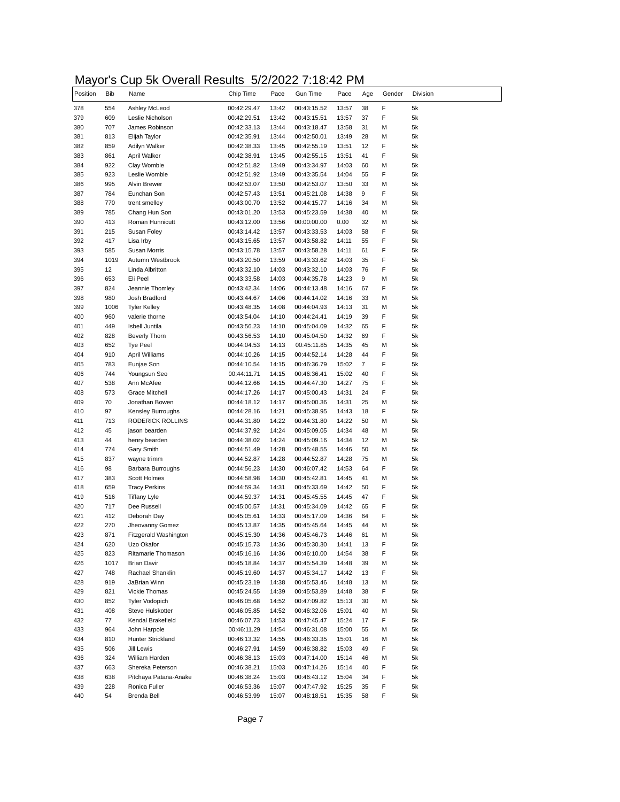# Mayor's Cup 5k Overall Results 5/2/2022 7:18:42 PM

| Position | <b>Bib</b> | Name                  | Chip Time   | Pace  | <b>Gun Time</b> | Pace  | Age            | Gender | Division |
|----------|------------|-----------------------|-------------|-------|-----------------|-------|----------------|--------|----------|
| 378      | 554        | Ashley McLeod         | 00:42:29.47 | 13:42 | 00:43:15.52     | 13:57 | 38             | F      | 5k       |
| 379      | 609        | Leslie Nicholson      | 00:42:29.51 | 13:42 | 00:43:15.51     | 13:57 | 37             | F      | 5k       |
| 380      | 707        | James Robinson        | 00:42:33.13 | 13:44 | 00:43:18.47     | 13:58 | 31             | М      | 5k       |
| 381      | 813        | Elijah Taylor         | 00:42:35.91 | 13:44 | 00:42:50.01     | 13:49 | 28             | М      | 5k       |
| 382      | 859        | Adilyn Walker         | 00:42:38.33 | 13:45 | 00:42:55.19     | 13:51 | 12             | F      | 5k       |
| 383      | 861        | April Walker          | 00:42:38.91 | 13:45 | 00:42:55.15     | 13:51 | 41             | F      | 5k       |
| 384      | 922        | Clay Womble           | 00:42:51.82 | 13:49 | 00:43:34.97     | 14:03 | 60             | M      | 5k       |
| 385      | 923        | Leslie Womble         | 00:42:51.92 | 13:49 | 00:43:35.54     | 14:04 | 55             | F      | 5k       |
| 386      | 995        | Alvin Brewer          | 00:42:53.07 | 13:50 | 00:42:53.07     | 13:50 | 33             | М      | 5k       |
| 387      | 784        | Eunchan Son           | 00:42:57.43 | 13:51 | 00:45:21.08     | 14:38 | 9              | F      | 5k       |
| 388      | 770        | trent smelley         | 00:43:00.70 | 13:52 | 00:44:15.77     | 14:16 | 34             | М      | 5k       |
| 389      | 785        | Chang Hun Son         | 00:43:01.20 | 13:53 | 00:45:23.59     | 14:38 | 40             | М      | 5k       |
| 390      | 413        | Roman Hunnicutt       | 00:43:12.00 | 13:56 | 00:00:00.00     | 0.00  | 32             | М      | 5k       |
| 391      | 215        | Susan Foley           | 00:43:14.42 | 13:57 | 00:43:33.53     | 14:03 | 58             | F      | 5k       |
| 392      | 417        | Lisa Irby             | 00:43:15.65 | 13:57 | 00:43:58.82     | 14:11 | 55             | F      | 5k       |
| 393      | 585        | Susan Morris          | 00:43:15.78 | 13:57 | 00:43:58.28     | 14:11 | 61             | F      | 5k       |
| 394      | 1019       | Autumn Westbrook      | 00:43:20.50 | 13:59 | 00:43:33.62     | 14:03 | 35             | F      | 5k       |
| 395      | 12         | Linda Albritton       | 00:43:32.10 | 14:03 | 00:43:32.10     | 14:03 | 76             | F      | 5k       |
| 396      | 653        | Eli Peel              | 00:43:33.58 | 14:03 | 00:44:35.78     | 14:23 | 9              | M      | 5k       |
| 397      | 824        | Jeannie Thomley       | 00:43:42.34 | 14:06 | 00:44:13.48     | 14:16 | 67             | F      | 5k       |
| 398      | 980        | Josh Bradford         | 00:43:44.67 | 14:06 | 00:44:14.02     | 14:16 | 33             | М      | 5k       |
| 399      | 1006       | <b>Tyler Kelley</b>   | 00:43:48.35 | 14:08 | 00:44:04.93     | 14:13 | 31             | M      | 5k       |
| 400      | 960        | valerie thorne        | 00:43:54.04 | 14:10 | 00:44:24.41     | 14:19 | 39             | F      | 5k       |
| 401      | 449        | <b>Isbell Juntila</b> | 00:43:56.23 | 14:10 | 00:45:04.09     | 14:32 | 65             | F      | 5k       |
| 402      | 828        | <b>Beverly Thorn</b>  | 00:43:56.53 | 14:10 | 00:45:04.50     | 14:32 | 69             | F      | 5k       |
| 403      | 652        | <b>Tye Peel</b>       | 00:44:04.53 | 14:13 | 00:45:11.85     | 14:35 | 45             | M      | 5k       |
|          |            |                       |             |       |                 | 14:28 | 44             | F      |          |
| 404      | 910        | April Williams        | 00:44:10.26 | 14:15 | 00:44:52.14     |       |                |        | 5k       |
| 405      | 783        | Eunjae Son            | 00:44:10.54 | 14:15 | 00:46:36.79     | 15:02 | $\overline{7}$ | F      | 5k       |
| 406      | 744        | Youngsun Seo          | 00:44:11.71 | 14:15 | 00:46:36.41     | 15:02 | 40             | F      | 5k       |
| 407      | 538        | Ann McAfee            | 00:44:12.66 | 14:15 | 00:44:47.30     | 14:27 | 75             | F      | 5k       |
| 408      | 573        | <b>Grace Mitchell</b> | 00:44:17.26 | 14:17 | 00:45:00.43     | 14:31 | 24             | F      | 5k       |
| 409      | 70         | Jonathan Bowen        | 00:44:18.12 | 14:17 | 00:45:00.36     | 14:31 | 25             | М      | 5k       |
| 410      | 97         | Kensley Burroughs     | 00:44:28.16 | 14:21 | 00:45:38.95     | 14:43 | 18             | F      | 5k       |
| 411      | 713        | RODERICK ROLLINS      | 00:44:31.80 | 14:22 | 00:44:31.80     | 14:22 | 50             | М      | 5k       |
| 412      | 45         | jason bearden         | 00:44:37.92 | 14:24 | 00:45:09.05     | 14:34 | 48             | М      | 5k       |
| 413      | 44         | henry bearden         | 00:44:38.02 | 14:24 | 00:45:09.16     | 14:34 | 12             | м      | 5k       |
| 414      | 774        | Gary Smith            | 00:44:51.49 | 14:28 | 00:45:48.55     | 14:46 | 50             | М      | 5k       |
| 415      | 837        | wayne trimm           | 00:44:52.87 | 14:28 | 00:44:52.87     | 14:28 | 75             | М      | 5k       |
| 416      | 98         | Barbara Burroughs     | 00:44:56.23 | 14:30 | 00:46:07.42     | 14:53 | 64             | F      | 5k       |
| 417      | 383        | Scott Holmes          | 00:44:58.98 | 14:30 | 00:45:42.81     | 14:45 | 41             | M      | 5k       |
| 418      | 659        | <b>Tracy Perkins</b>  | 00:44:59.34 | 14:31 | 00:45:33.69     | 14:42 | 50             | F      | 5k       |
| 419      | 516        | <b>Tiffany Lyle</b>   | 00:44:59.37 | 14:31 | 00:45:45.55     | 14:45 | 47             | F      | 5k       |
| 420      | 717        | Dee Russell           | 00:45:00.57 | 14:31 | 00:45:34.09     | 14:42 | 65             | F      | 5k       |
| 421      | 412        | Deborah Day           | 00:45:05.61 | 14:33 | 00:45:17.09     | 14:36 | 64             | F      | 5k       |
| 422      | 270        | Jheovanny Gomez       | 00:45:13.87 | 14:35 | 00:45:45.64     | 14:45 | 44             | M      | 5k       |
| 423      | 871        | Fitzgerald Washington | 00:45:15.30 | 14:36 | 00:45:46.73     | 14:46 | 61             | м      | 5k       |
| 424      | 620        | Uzo Okafor            | 00:45:15.73 | 14:36 | 00:45:30.30     | 14:41 | 13             | F      | 5k       |
| 425      | 823        | Ritamarie Thomason    | 00:45:16.16 | 14:36 | 00:46:10.00     | 14:54 | 38             | F      | 5k       |
| 426      | 1017       | <b>Brian Davir</b>    | 00:45:18.84 | 14:37 | 00:45:54.39     | 14:48 | 39             | М      | 5k       |
| 427      | 748        | Rachael Shanklin      | 00:45:19.60 | 14:37 | 00:45:34.17     | 14:42 | 13             | F      | 5k       |
| 428      | 919        | JaBrian Winn          | 00:45:23.19 | 14:38 | 00:45:53.46     | 14:48 | 13             | М      | 5k       |
| 429      | 821        | Vickie Thomas         | 00:45:24.55 | 14:39 | 00:45:53.89     | 14:48 | 38             | F      | 5k       |
| 430      | 852        | <b>Tyler Vodopich</b> | 00:46:05.68 | 14:52 | 00:47:09.82     | 15:13 | 30             | М      | 5k       |
| 431      | 408        | Steve Hulskotter      | 00:46:05.85 | 14:52 | 00:46:32.06     | 15:01 | 40             | М      | 5k       |
| 432      | 77         | Kendal Brakefield     | 00:46:07.73 | 14:53 | 00:47:45.47     | 15:24 | 17             | F      | 5k       |
|          | 964        | John Harpole          |             | 14:54 | 00:46:31.08     |       | 55             | М      |          |
| 433      |            |                       | 00:46:11.29 |       |                 | 15:00 |                |        | 5k       |
| 434      | 810        | Hunter Strickland     | 00:46:13.32 | 14:55 | 00:46:33.35     | 15:01 | 16             | М      | 5k       |
| 435      | 506        | Jill Lewis            | 00:46:27.91 | 14:59 | 00:46:38.82     | 15:03 | 49             | F      | 5k       |
| 436      | 324        | William Harden        | 00:46:38.13 | 15:03 | 00:47:14.00     | 15:14 | 46             | м      | 5k       |
| 437      | 663        | Shereka Peterson      | 00:46:38.21 | 15:03 | 00:47:14.26     | 15:14 | 40             | F      | 5k       |
| 438      | 638        | Pitchaya Patana-Anake | 00:46:38.24 | 15:03 | 00:46:43.12     | 15:04 | 34             | F      | 5k       |
| 439      | 228        | Ronica Fuller         | 00:46:53.36 | 15:07 | 00:47:47.92     | 15:25 | 35             | F      | 5k       |
| 440      | 54         | Brenda Bell           | 00:46:53.99 | 15:07 | 00:48:18.51     | 15:35 | 58             | F      | 5k       |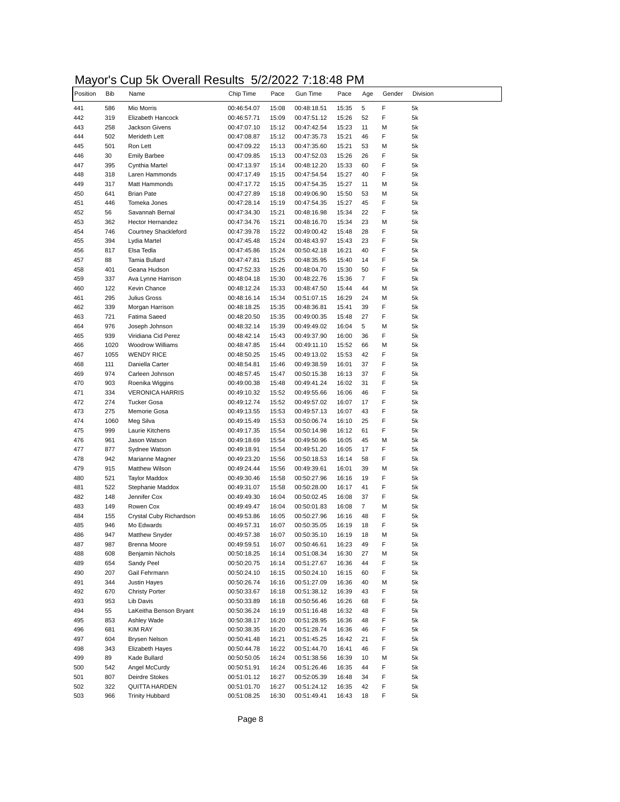# Mayor's Cup 5k Overall Results 5/2/2022 7:18:48 PM

| Position   | <b>Bib</b> | .<br>, , , , , , , , ,<br>Name                 | Chip Time                  | Pace           | Gun Time                   | Pace           | Age      | Gender | Division |
|------------|------------|------------------------------------------------|----------------------------|----------------|----------------------------|----------------|----------|--------|----------|
|            |            |                                                |                            |                |                            |                |          |        |          |
| 441<br>442 | 586<br>319 | Mio Morris<br>Elizabeth Hancock                | 00:46:54.07<br>00:46:57.71 | 15:08<br>15:09 | 00:48:18.51<br>00:47:51.12 | 15:35<br>15:26 | 5<br>52  | F<br>F | 5k<br>5k |
| 443        | 258        | Jackson Givens                                 | 00:47:07.10                | 15:12          | 00:47:42.54                | 15:23          | 11       | M      | 5k       |
| 444        | 502        | Merideth Lett                                  | 00:47:08.87                | 15:12          | 00:47:35.73                | 15:21          | 46       | F      | 5k       |
| 445        | 501        | Ron Lett                                       | 00:47:09.22                | 15:13          | 00:47:35.60                | 15:21          | 53       | М      | 5k       |
| 446        | 30         | <b>Emily Barbee</b>                            | 00:47:09.85                | 15:13          | 00:47:52.03                | 15:26          | 26       | F      | 5k       |
| 447        | 395        | Cynthia Martel                                 | 00:47:13.97                | 15:14          | 00:48:12.20                | 15:33          | 60       | F      | 5k       |
| 448        | 318        | Laren Hammonds                                 | 00:47:17.49                | 15:15          | 00:47:54.54                | 15:27          | 40       | F      | 5k       |
| 449        | 317        | Matt Hammonds                                  | 00:47:17.72                | 15:15          | 00:47:54.35                | 15:27          | 11       | М      | 5k       |
| 450        | 641        | <b>Brian Pate</b>                              | 00:47:27.89                | 15:18          | 00:49:06.90                | 15:50          | 53       | M      | 5k       |
| 451        | 446        | Tomeka Jones                                   | 00:47:28.14                | 15:19          | 00:47:54.35                | 15:27          | 45       | F      | 5k       |
| 452        | 56         | Savannah Bernal                                | 00:47:34.30                | 15:21          | 00:48:16.98                | 15:34          | 22       | F      | 5k       |
| 453        | 362        | Hector Hernandez                               | 00:47:34.76                | 15:21          | 00:48:16.70                | 15:34          | 23       | M      | 5k       |
| 454        | 746        | Courtney Shackleford                           | 00:47:39.78                | 15:22          | 00:49:00.42                | 15:48          | 28       | F      | 5k       |
| 455        | 394        | Lydia Martel                                   | 00:47:45.48                | 15:24          | 00:48:43.97                | 15:43          | 23       | F      | 5k       |
| 456        | 817        | Elsa Tedla                                     | 00:47:45.86                | 15:24          | 00:50:42.18                | 16:21          | 40       | F      | 5k       |
| 457        | 88         | Tamia Bullard                                  | 00:47:47.81                | 15:25          | 00:48:35.95                | 15:40          | 14       | F      | 5k       |
| 458        | 401        | Geana Hudson                                   | 00:47:52.33                | 15:26          | 00:48:04.70                | 15:30          | 50       | F      | 5k       |
| 459        | 337        | Ava Lynne Harrison                             | 00:48:04.18                | 15:30          | 00:48:22.76                | 15:36          | 7        | F      | 5k       |
| 460        | 122<br>295 | Kevin Chance                                   | 00:48:12.24                | 15:33          | 00:48:47.50                | 15:44          | 44<br>24 | М      | 5k       |
| 461<br>462 | 339        | Julius Gross                                   | 00:48:16.14                | 15:34          | 00:51:07.15                | 16:29          | 39       | M<br>F | 5k<br>5k |
| 463        | 721        | Morgan Harrison<br><b>Fatima Saeed</b>         | 00:48:18.25<br>00:48:20.50 | 15:35<br>15:35 | 00:48:36.81<br>00:49:00.35 | 15:41<br>15:48 | 27       | F      | 5k       |
| 464        | 976        | Joseph Johnson                                 | 00:48:32.14                | 15:39          | 00:49:49.02                | 16:04          | 5        | М      | 5k       |
| 465        | 939        | Viridiana Cid Perez                            | 00:48:42.14                | 15:43          | 00:49:37.90                | 16:00          | 36       | F      | 5k       |
| 466        | 1020       | Woodrow Williams                               | 00:48:47.85                | 15:44          | 00:49:11.10                | 15:52          | 66       | M      | 5k       |
| 467        | 1055       | <b>WENDY RICE</b>                              | 00:48:50.25                | 15:45          | 00:49:13.02                | 15:53          | 42       | F      | 5k       |
| 468        | 111        | Daniella Carter                                | 00:48:54.81                | 15:46          | 00:49:38.59                | 16:01          | 37       | F      | 5k       |
| 469        | 974        | Carleen Johnson                                | 00:48:57.45                | 15:47          | 00:50:15.38                | 16:13          | 37       | F      | 5k       |
| 470        | 903        | Roenika Wiggins                                | 00:49:00.38                | 15:48          | 00:49:41.24                | 16:02          | 31       | F      | 5k       |
| 471        | 334        | <b>VERONICA HARRIS</b>                         | 00:49:10.32                | 15:52          | 00:49:55.66                | 16:06          | 46       | F      | 5k       |
| 472        | 274        | <b>Tucker Gosa</b>                             | 00:49:12.74                | 15:52          | 00:49:57.02                | 16:07          | 17       | F      | 5k       |
| 473        | 275        | Memorie Gosa                                   | 00:49:13.55                | 15:53          | 00:49:57.13                | 16:07          | 43       | F      | 5k       |
| 474        | 1060       | Meg Silva                                      | 00:49:15.49                | 15:53          | 00:50:06.74                | 16:10          | 25       | F      | 5k       |
| 475        | 999        | Laurie Kitchens                                | 00:49:17.35                | 15:54          | 00:50:14.98                | 16:12          | 61       | F      | 5k       |
| 476        | 961        | Jason Watson                                   | 00:49:18.69                | 15:54          | 00:49:50.96                | 16:05          | 45       | М      | 5k       |
| 477        | 877        | Sydnee Watson                                  | 00:49:18.91                | 15:54          | 00:49:51.20                | 16:05          | 17       | F      | 5k       |
| 478        | 942        | Marianne Magner                                | 00:49:23.20                | 15:56          | 00:50:18.53                | 16:14          | 58       | F      | 5k       |
| 479        | 915        | <b>Matthew Wilson</b>                          | 00:49:24.44                | 15:56          | 00:49:39.61                | 16:01          | 39       | М      | 5k       |
| 480<br>481 | 521<br>522 | <b>Taylor Maddox</b><br>Stephanie Maddox       | 00:49:30.46<br>00:49:31.07 | 15:58<br>15:58 | 00:50:27.96<br>00:50:28.00 | 16:16<br>16:17 | 19<br>41 | F<br>F | 5k<br>5k |
| 482        | 148        | Jennifer Cox                                   | 00:49:49.30                | 16:04          | 00:50:02.45                | 16:08          | 37       | F      | 5k       |
| 483        | 149        | Rowen Cox                                      | 00:49:49.47                | 16:04          | 00:50:01.83                | 16:08          | 7        | M      | 5k       |
| 484        | 155        | Crystal Cuby Richardson                        | 00:49:53.86                | 16:05          | 00:50:27.96                | 16:16          | 48       | F      | 5k       |
| 485        | 946        | Mo Edwards                                     | 00:49:57.31                | 16:07          | 00:50:35.05                | 16:19          | 18       | F      | 5k       |
| 486        | 947        | Matthew Snyder                                 | 00:49:57.38                | 16:07          | 00:50:35.10                | 16:19          | 18       | М      | 5k       |
| 487        | 987        | <b>Brenna Moore</b>                            | 00:49:59.51                | 16:07          | 00:50:46.61                | 16:23          | 49       | F      | 5k       |
| 488        | 608        | Benjamin Nichols                               | 00:50:18.25                | 16:14          | 00:51:08.34                | 16:30          | 27       | М      | 5k       |
| 489        | 654        | Sandy Peel                                     | 00:50:20.75                | 16:14          | 00:51:27.67                | 16:36          | 44       | F      | 5k       |
| 490        | 207        | Gail Fehrmann                                  | 00:50:24.10                | 16:15          | 00:50:24.10                | 16:15          | 60       | F      | 5k       |
| 491        | 344        | Justin Hayes                                   | 00:50:26.74                | 16:16          | 00:51:27.09                | 16:36          | 40       | M      | 5k       |
| 492        | 670        | <b>Christy Porter</b>                          | 00:50:33.67                | 16:18          | 00:51:38.12                | 16:39          | 43       | F      | 5k       |
| 493        | 953        | Lib Davis                                      | 00:50:33.89                | 16:18          | 00:50:56.46                | 16:26          | 68       | F      | 5k       |
| 494        | 55         | LaKeitha Benson Bryant                         | 00:50:36.24                | 16:19          | 00:51:16.48                | 16:32          | 48       | F      | 5k       |
| 495        | 853        | Ashley Wade                                    | 00:50:38.17                | 16:20          | 00:51:28.95                | 16:36          | 48       | F      | 5k       |
| 496        | 681        | <b>KIM RAY</b>                                 | 00:50:38.35                | 16:20          | 00:51:28.74                | 16:36          | 46       | F      | 5k       |
| 497        | 604        | Brysen Nelson                                  | 00:50:41.48                | 16:21          | 00:51:45.25                | 16:42          | 21       | F      | 5k       |
| 498        | 343        | Elizabeth Hayes                                | 00:50:44.78                | 16:22          | 00:51:44.70                | 16:41          | 46       | F      | 5k       |
| 499        | 89         | Kade Bullard                                   | 00:50:50.05                | 16:24          | 00:51:38.56                | 16:39          | 10       | М      | 5k       |
| 500        | 542        | Angel McCurdy                                  | 00:50:51.91                | 16:24          | 00:51:26.46                | 16:35          | 44       | F      | 5k       |
| 501        | 807        | Deirdre Stokes                                 | 00:51:01.12                | 16:27          | 00:52:05.39                | 16:48          | 34       | F      | 5k       |
| 502<br>503 | 322<br>966 | <b>QUITTA HARDEN</b><br><b>Trinity Hubbard</b> | 00:51:01.70<br>00:51:08.25 | 16:27<br>16:30 | 00:51:24.12<br>00:51:49.41 | 16:35<br>16:43 | 42<br>18 | F<br>F | 5k<br>5k |
|            |            |                                                |                            |                |                            |                |          |        |          |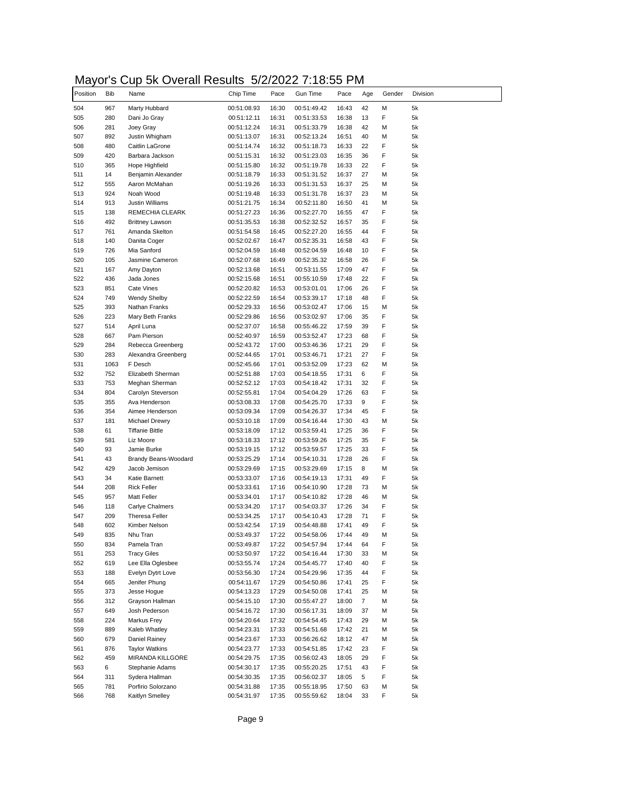# Mayor's Cup 5k Overall Results 5/2/2022 7:18:55 PM

| Position   | <b>Bib</b> | Name                      | Chip Time                  | Pace           | <b>Gun Time</b>            | Pace           | Age      | Gender | Division |
|------------|------------|---------------------------|----------------------------|----------------|----------------------------|----------------|----------|--------|----------|
| 504        | 967        | Marty Hubbard             | 00:51:08.93                | 16:30          | 00:51:49.42                | 16:43          | 42       | М      | 5k       |
| 505        | 280        | Dani Jo Gray              | 00:51:12.11                | 16:31          | 00:51:33.53                | 16:38          | 13       | F      | 5k       |
| 506        | 281        | Joey Gray                 | 00:51:12.24                | 16:31          | 00:51:33.79                | 16:38          | 42       | М      | 5k       |
| 507        | 892        | Justin Whigham            | 00:51:13.07                | 16:31          | 00:52:13.24                | 16:51          | 40       | М      | 5k       |
| 508        | 480        | Caitlin LaGrone           | 00:51:14.74                | 16:32          | 00:51:18.73                | 16:33          | 22       | F      | 5k       |
| 509        | 420        | Barbara Jackson           | 00:51:15.31                | 16:32          | 00:51:23.03                | 16:35          | 36       | F      | 5k       |
| 510        | 365        | Hope Highfield            | 00:51:15.80                | 16:32          | 00:51:19.78                | 16:33          | 22       | F      | 5k       |
| 511        | 14         | Benjamin Alexander        | 00:51:18.79                | 16:33          | 00:51:31.52                | 16:37          | 27       | М      | 5k       |
| 512        | 555        | Aaron McMahan             | 00:51:19.26                | 16:33          | 00:51:31.53                | 16:37          | 25       | м      | 5k       |
| 513        | 924        | Noah Wood                 | 00:51:19.48                | 16:33          | 00:51:31.78                | 16:37          | 23       | М      | 5k       |
| 514        | 913        | Justin Williams           | 00:51:21.75                | 16:34          | 00:52:11.80                | 16:50          | 41       | М      | 5k       |
| 515        | 138        | REMECHIA CLEARK           | 00:51:27.23                | 16:36          | 00:52:27.70                | 16:55          | 47       | F<br>F | 5k       |
| 516        | 492        | <b>Brittney Lawson</b>    | 00:51:35.53                | 16:38          | 00:52:32.52                | 16:57          | 35       |        | 5k       |
| 517        | 761        | Amanda Skelton            | 00:51:54.58                | 16:45          | 00:52:27.20                | 16:55          | 44       | F      | 5k       |
| 518<br>519 | 140        | Danita Coger              | 00:52:02.67                | 16:47          | 00:52:35.31                | 16:58          | 43       | F<br>F | 5k       |
|            | 726        | Mia Sanford               | 00:52:04.59                | 16:48          | 00:52:04.59                | 16:48          | 10       |        | 5k       |
| 520<br>521 | 105        | Jasmine Cameron           | 00:52:07.68                | 16:49          | 00:52:35.32                | 16:58          | 26       | F      | 5k       |
|            | 167        | Amy Dayton                | 00:52:13.68                | 16:51          | 00:53:11.55                | 17:09          | 47       | F      | 5k       |
| 522<br>523 | 436        | Jada Jones                | 00:52:15.68                | 16:51          | 00:55:10.59                | 17:48          | 22       | F<br>F | 5k       |
|            | 851        | Cate Vines                | 00:52:20.82                | 16:53          | 00:53:01.01                | 17:06          | 26       |        | 5k       |
| 524        | 749        | <b>Wendy Shelby</b>       | 00:52:22.59                | 16:54          | 00:53:39.17                | 17:18          | 48       | F      | 5k       |
| 525        | 393        | Nathan Franks             | 00:52:29.33                | 16:56          | 00:53:02.47                | 17:06          | 15       | М      | 5k       |
| 526        | 223        | Mary Beth Franks          | 00:52:29.86                | 16:56          | 00:53:02.97                | 17:06          | 35       | F<br>F | 5k       |
| 527        | 514<br>667 | April Luna<br>Pam Pierson | 00:52:37.07<br>00:52:40.97 | 16:58<br>16:59 | 00:55:46.22<br>00:53:52.47 | 17:59<br>17:23 | 39<br>68 | F      | 5k<br>5k |
| 528<br>529 | 284        | Rebecca Greenberg         |                            |                |                            |                |          | F      | 5k       |
| 530        | 283        | Alexandra Greenberg       | 00:52:43.72<br>00:52:44.65 | 17:00<br>17:01 | 00:53:46.36                | 17:21<br>17:21 | 29<br>27 | F      | 5k       |
| 531        | 1063       | F Desch                   |                            | 17:01          | 00:53:46.71<br>00:53:52.09 | 17:23          | 62       | М      | 5k       |
|            | 752        | Elizabeth Sherman         | 00:52:45.66<br>00:52:51.88 | 17:03          | 00:54:18.55                | 17:31          | 6        | F      | 5k       |
| 532<br>533 | 753        | Meghan Sherman            | 00:52:52.12                | 17:03          | 00:54:18.42                | 17:31          | 32       | F      | 5k       |
| 534        | 804        | Carolyn Steverson         | 00:52:55.81                | 17:04          | 00:54:04.29                | 17:26          | 63       | F      | 5k       |
| 535        | 355        | Ava Henderson             | 00:53:08.33                | 17:08          | 00:54:25.70                | 17:33          | 9        | F      | 5k       |
| 536        | 354        | Aimee Henderson           | 00:53:09.34                | 17:09          | 00:54:26.37                | 17:34          | 45       | F      | 5k       |
| 537        | 181        | <b>Michael Drewry</b>     | 00:53:10.18                | 17:09          | 00:54:16.44                | 17:30          | 43       | М      | 5k       |
| 538        | 61         | <b>Tiffanie Bittle</b>    | 00:53:18.09                | 17:12          | 00:53:59.41                | 17:25          | 36       | F      | 5k       |
| 539        | 581        | Liz Moore                 | 00:53:18.33                | 17:12          | 00:53:59.26                | 17:25          | 35       | F      | 5k       |
| 540        | 93         | Jamie Burke               | 00:53:19.15                | 17:12          | 00:53:59.57                | 17:25          | 33       | F      | 5k       |
| 541        | 43         | Brandy Beans-Woodard      | 00:53:25.29                | 17:14          | 00:54:10.31                | 17:28          | 26       | F      | 5k       |
| 542        | 429        | Jacob Jemison             | 00:53:29.69                | 17:15          | 00:53:29.69                | 17:15          | 8        | М      | 5k       |
| 543        | 34         | Katie Barnett             | 00:53:33.07                | 17:16          | 00:54:19.13                | 17:31          | 49       | F      | 5k       |
| 544        | 208        | <b>Rick Feller</b>        | 00:53:33.61                | 17:16          | 00:54:10.90                | 17:28          | 73       | М      | 5k       |
| 545        | 957        | Matt Feller               | 00:53:34.01                | 17:17          | 00:54:10.82                | 17:28          | 46       | М      | 5k       |
| 546        | 118        | Carlye Chalmers           | 00:53:34.20                | 17:17          | 00:54:03.37                | 17:26          | 34       | F      | 5k       |
| 547        | 209        | <b>Theresa Feller</b>     | 00:53:34.25                | 17:17          | 00:54:10.43                | 17:28          | 71       | F      | 5k       |
| 548        | 602        | Kimber Nelson             | 00:53:42.54                | 17:19          | 00:54:48.88                | 17:41          | 49       | F      | 5k       |
| 549        | 835        | Nhu Tran                  | 00:53:49.37                | 17:22          | 00:54:58.06                | 17:44          | 49       | м      | 5k       |
| 550        | 834        | Pamela Tran               | 00:53:49.87                | 17:22          | 00:54:57.94                | 17:44          | 64       | F      | 5k       |
| 551        | 253        | <b>Tracy Giles</b>        | 00:53:50.97                | 17:22          | 00:54:16.44                | 17:30          | 33       | М      | 5k       |
| 552        | 619        | Lee Ella Oglesbee         | 00:53:55.74                | 17:24          | 00:54:45.77                | 17:40          | 40       | F      | 5k       |
| 553        | 188        | Evelyn Dytrt Love         | 00:53:56.30                | 17:24          | 00:54:29.96                | 17:35          | 44       | F      | 5k       |
| 554        | 665        | Jenifer Phung             | 00:54:11.67                | 17:29          | 00:54:50.86                | 17:41          | 25       | F      | 5k       |
| 555        | 373        | Jesse Hogue               | 00:54:13.23                | 17:29          | 00:54:50.08                | 17:41          | 25       | М      | 5k       |
| 556        | 312        | Grayson Hallman           | 00:54:15.10                | 17:30          | 00:55:47.27                | 18:00          | 7        | М      | 5k       |
| 557        | 649        | Josh Pederson             | 00:54:16.72                | 17:30          | 00:56:17.31                | 18:09          | 37       | М      | 5k       |
| 558        | 224        | Markus Frey               | 00:54:20.64                | 17:32          | 00:54:54.45                | 17:43          | 29       | М      | 5k       |
| 559        | 889        | Kaleb Whatley             | 00:54:23.31                | 17:33          | 00:54:51.68                | 17:42          | 21       | М      | 5k       |
| 560        | 679        | Daniel Rainey             | 00:54:23.67                | 17:33          | 00:56:26.62                | 18:12          | 47       | М      | 5k       |
| 561        | 876        | <b>Taylor Watkins</b>     | 00:54:23.77                | 17:33          | 00:54:51.85                | 17:42          | 23       | F      | 5k       |
| 562        | 459        | MIRANDA KILLGORE          | 00:54:29.75                | 17:35          | 00:56:02.43                | 18:05          | 29       | F      | 5k       |
| 563        | 6          | Stephanie Adams           | 00:54:30.17                | 17:35          | 00:55:20.25                | 17:51          | 43       | F      | 5k       |
| 564        | 311        | Sydera Hallman            | 00:54:30.35                | 17:35          | 00:56:02.37                | 18:05          | 5        | F      | 5k       |
| 565        | 781        | Porfirio Solorzano        | 00:54:31.88                | 17:35          | 00:55:18.95                | 17:50          | 63       | М      | 5k       |
| 566        | 768        | Kaitlyn Smelley           | 00:54:31.97                | 17:35          | 00:55:59.62                | 18:04          | 33       | F      | 5k       |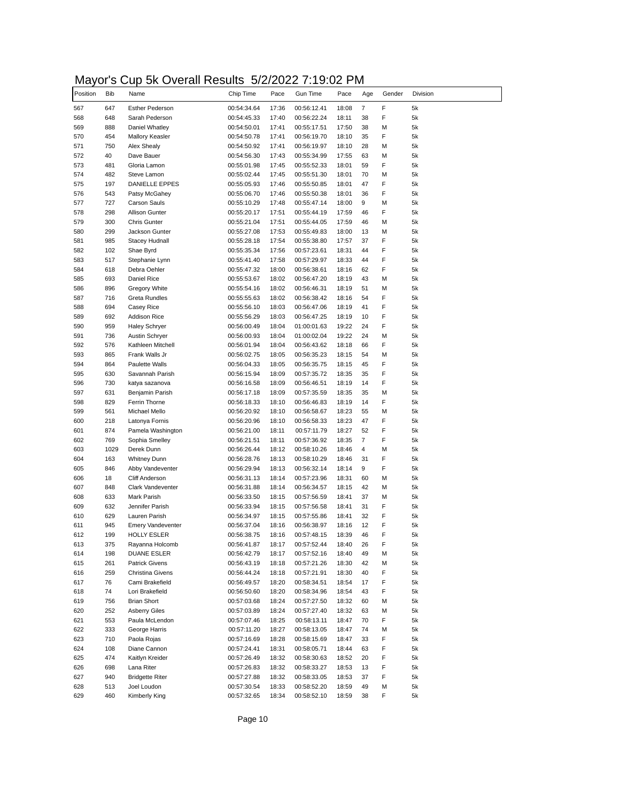# Mayor's Cup 5k Overall Results 5/2/2022 7:19:02 PM

| Position | <b>Bib</b> | Name                     | Chip Time   | Pace  | Gun Time    | Pace  | Age | Gender | Division |
|----------|------------|--------------------------|-------------|-------|-------------|-------|-----|--------|----------|
| 567      | 647        | <b>Esther Pederson</b>   | 00:54:34.64 | 17:36 | 00:56:12.41 | 18:08 | 7   | F      | 5k       |
| 568      | 648        | Sarah Pederson           | 00:54:45.33 | 17:40 | 00:56:22.24 | 18:11 | 38  | F      | 5k       |
| 569      | 888        | Daniel Whatley           | 00:54:50.01 | 17:41 | 00:55:17.51 | 17:50 | 38  | М      | 5k       |
| 570      | 454        | <b>Mallory Keasler</b>   | 00:54:50.78 | 17:41 | 00:56:19.70 | 18:10 | 35  | F      | 5k       |
| 571      | 750        | Alex Shealy              | 00:54:50.92 | 17:41 | 00:56:19.97 | 18:10 | 28  | М      | 5k       |
| 572      | 40         | Dave Bauer               | 00:54:56.30 | 17:43 | 00:55:34.99 | 17:55 | 63  | М      | 5k       |
| 573      | 481        | Gloria Lamon             | 00:55:01.98 | 17:45 | 00:55:52.33 | 18:01 | 59  | F      | 5k       |
| 574      | 482        | Steve Lamon              | 00:55:02.44 | 17:45 | 00:55:51.30 | 18:01 | 70  | М      | 5k       |
| 575      | 197        | <b>DANIELLE EPPES</b>    | 00:55:05.93 | 17:46 | 00:55:50.85 | 18:01 | 47  | F      | 5k       |
| 576      | 543        | Patsy McGahey            | 00:55:06.70 | 17:46 | 00:55:50.38 | 18:01 | 36  | F      | 5k       |
| 577      | 727        | <b>Carson Sauls</b>      | 00:55:10.29 | 17:48 | 00:55:47.14 | 18:00 | 9   | М      | 5k       |
| 578      | 298        | <b>Allison Gunter</b>    | 00:55:20.17 | 17:51 | 00:55:44.19 | 17:59 | 46  | F      | 5k       |
| 579      | 300        | <b>Chris Gunter</b>      | 00:55:21.04 | 17:51 | 00:55:44.05 | 17:59 | 46  | М      | 5k       |
| 580      | 299        | Jackson Gunter           | 00:55:27.08 | 17:53 | 00:55:49.83 | 18:00 | 13  | М      | 5k       |
| 581      | 985        | Stacey Hudnall           | 00:55:28.18 | 17:54 | 00:55:38.80 | 17:57 | 37  | F      | 5k       |
| 582      | 102        | Shae Byrd                | 00:55:35.34 | 17:56 | 00:57:23.61 | 18:31 | 44  | F      | 5k       |
| 583      | 517        | Stephanie Lynn           | 00:55:41.40 | 17:58 | 00:57:29.97 | 18:33 | 44  | F      | 5k       |
| 584      | 618        | Debra Oehler             | 00:55:47.32 | 18:00 | 00:56:38.61 | 18:16 | 62  | F      | 5k       |
| 585      | 693        | Daniel Rice              | 00:55:53.67 | 18:02 | 00:56:47.20 | 18:19 | 43  | м      | 5k       |
| 586      | 896        | Gregory White            | 00:55:54.16 | 18:02 | 00:56:46.31 | 18:19 | 51  | М      | 5k       |
| 587      | 716        | <b>Greta Rundles</b>     | 00:55:55.63 | 18:02 | 00:56:38.42 | 18:16 | 54  | F      | 5k       |
| 588      | 694        | Casey Rice               | 00:55:56.10 | 18:03 | 00:56:47.06 | 18:19 | 41  | F      | 5k       |
| 589      | 692        | <b>Addison Rice</b>      | 00:55:56.29 | 18:03 | 00:56:47.25 | 18:19 | 10  | F      | 5k       |
| 590      | 959        | <b>Haley Schryer</b>     | 00:56:00.49 | 18:04 | 01:00:01.63 | 19:22 | 24  | F      | 5k       |
| 591      | 736        | Austin Schryer           | 00:56:00.93 | 18:04 | 01:00:02.04 | 19:22 | 24  | М      | 5k       |
| 592      | 576        | Kathleen Mitchell        | 00:56:01.94 | 18:04 | 00:56:43.62 | 18:18 | 66  | F      | 5k       |
| 593      | 865        | Frank Walls Jr           | 00:56:02.75 | 18:05 | 00:56:35.23 | 18:15 | 54  | М      | 5k       |
| 594      | 864        | Paulette Walls           | 00:56:04.33 | 18:05 | 00:56:35.75 | 18:15 | 45  | F      | 5k       |
| 595      | 630        | Savannah Parish          | 00:56:15.94 | 18:09 | 00:57:35.72 | 18:35 | 35  | F      | 5k       |
| 596      | 730        | katya sazanova           | 00:56:16.58 | 18:09 | 00:56:46.51 | 18:19 | 14  | F      | 5k       |
| 597      | 631        | Benjamin Parish          | 00:56:17.18 | 18:09 | 00:57:35.59 | 18:35 | 35  | М      | 5k       |
| 598      | 829        | Ferrin Thorne            | 00:56:18.33 | 18:10 | 00:56:46.83 | 18:19 | 14  | F      | 5k       |
| 599      | 561        | Michael Mello            | 00:56:20.92 | 18:10 | 00:56:58.67 | 18:23 | 55  | М      | 5k       |
| 600      | 218        | Latonya Fornis           | 00:56:20.96 | 18:10 | 00:56:58.33 | 18:23 | 47  | F      | 5k       |
| 601      | 874        | Pamela Washington        | 00:56:21.00 | 18:11 | 00:57:11.79 | 18:27 | 52  | F      | 5k       |
| 602      | 769        | Sophia Smelley           | 00:56:21.51 | 18:11 | 00:57:36.92 | 18:35 | 7   | F      | 5k       |
| 603      | 1029       | Derek Dunn               | 00:56:26.44 | 18:12 | 00:58:10.26 | 18:46 | 4   | М      | 5k       |
| 604      | 163        | <b>Whitney Dunn</b>      | 00:56:28.76 | 18:13 | 00:58:10.29 | 18:46 | 31  | F      | 5k       |
| 605      | 846        | Abby Vandeventer         | 00:56:29.94 | 18:13 | 00:56:32.14 | 18:14 | 9   | F      | 5k       |
| 606      | 18         | <b>Cliff Anderson</b>    | 00:56:31.13 | 18:14 | 00:57:23.96 | 18:31 | 60  | М      | 5k       |
| 607      | 848        | Clark Vandeventer        | 00:56:31.88 | 18:14 | 00:56:34.57 | 18:15 | 42  | М      | 5k       |
| 608      | 633        | Mark Parish              | 00:56:33.50 | 18:15 | 00:57:56.59 | 18:41 | 37  | М      | 5k       |
| 609      | 632        | Jennifer Parish          | 00:56:33.94 | 18:15 | 00:57:56.58 | 18:41 | 31  | F      | 5k       |
| 610      | 629        | Lauren Parish            | 00:56:34.97 | 18:15 | 00:57:55.86 | 18:41 | 32  | F      | 5k       |
| 611      | 945        | <b>Emery Vandeventer</b> | 00:56:37.04 | 18:16 | 00:56:38.97 | 18:16 | 12  | F      | 5k       |
| 612      | 199        | <b>HOLLY ESLER</b>       | 00:56:38.75 | 18:16 | 00:57:48.15 | 18:39 | 46  | F      | 5k       |
| 613      | 375        | Rayanna Holcomb          | 00:56:41.87 | 18:17 | 00:57:52.44 | 18:40 | 26  | F      | 5k       |
| 614      | 198        | <b>DUANE ESLER</b>       | 00:56:42.79 | 18:17 | 00:57:52.16 | 18:40 | 49  | м      | 5k       |
| 615      | 261        | <b>Patrick Givens</b>    | 00:56:43.19 | 18:18 | 00:57:21.26 | 18:30 | 42  | М      | 5k       |
| 616      | 259        | Christina Givens         | 00:56:44.24 | 18:18 | 00:57:21.91 | 18:30 | 40  | F      | 5k       |
| 617      |            | Cami Brakefield          |             |       |             |       | 17  | F      | 5k       |
| 618      | 76<br>74   |                          | 00:56:49.57 | 18:20 | 00:58:34.51 | 18:54 |     | F      |          |
|          |            | Lori Brakefield          | 00:56:50.60 | 18:20 | 00:58:34.96 | 18:54 | 43  |        | 5k       |
| 619      | 756        | <b>Brian Short</b>       | 00:57:03.68 | 18:24 | 00:57:27.50 | 18:32 | 60  | М      | 5k       |
| 620      | 252        | <b>Asberry Giles</b>     | 00:57:03.89 | 18:24 | 00:57:27.40 | 18:32 | 63  | М      | 5k       |
| 621      | 553        | Paula McLendon           | 00:57:07.46 | 18:25 | 00:58:13.11 | 18:47 | 70  | F      | 5k       |
| 622      | 333        | George Harris            | 00:57:11.20 | 18:27 | 00:58:13.05 | 18:47 | 74  | М      | 5k       |
| 623      | 710        | Paola Rojas              | 00:57:16.69 | 18:28 | 00:58:15.69 | 18:47 | 33  | F      | 5k       |
| 624      | 108        | Diane Cannon             | 00:57:24.41 | 18:31 | 00:58:05.71 | 18:44 | 63  | F      | 5k       |
| 625      | 474        | Kaitlyn Kreider          | 00:57:26.49 | 18:32 | 00:58:30.63 | 18:52 | 20  | F      | 5k       |
| 626      | 698        | Lana Riter               | 00:57:26.83 | 18:32 | 00:58:33.27 | 18:53 | 13  | F      | 5k       |
| 627      | 940        | <b>Bridgette Riter</b>   | 00:57:27.88 | 18:32 | 00:58:33.05 | 18:53 | 37  | F      | 5k       |
| 628      | 513        | Joel Loudon              | 00:57:30.54 | 18:33 | 00:58:52.20 | 18:59 | 49  | М      | 5k       |
| 629      | 460        | Kimberly King            | 00:57:32.65 | 18:34 | 00:58:52.10 | 18:59 | 38  | F      | 5k       |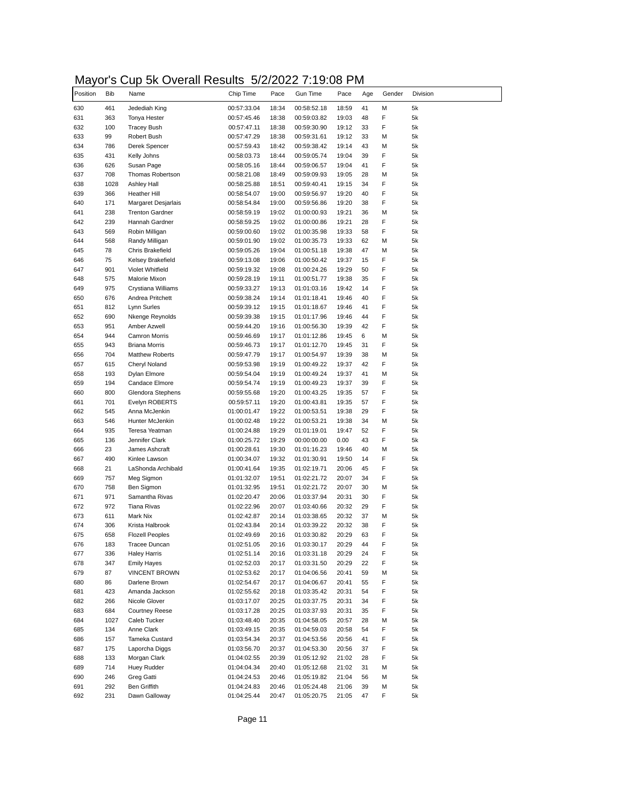# Mayor's Cup 5k Overall Results 5/2/2022 7:19:08 PM

| Position   | <b>Bib</b> | Name                                     | Chip Time                  | Pace           | Gun Time                   | Pace           | Age      | Gender | Division |
|------------|------------|------------------------------------------|----------------------------|----------------|----------------------------|----------------|----------|--------|----------|
| 630        | 461        | Jedediah King                            | 00:57:33.04                | 18:34          | 00:58:52.18                | 18:59          | 41       | М      | 5k       |
| 631        | 363        | Tonya Hester                             | 00:57:45.46                | 18:38          | 00:59:03.82                | 19:03          | 48       | F      | 5k       |
| 632        | 100        | <b>Tracey Bush</b>                       | 00:57:47.11                | 18:38          | 00:59:30.90                | 19:12          | 33       | F      | 5k       |
| 633        | 99         | Robert Bush                              | 00:57:47.29                | 18:38          | 00:59:31.61                | 19:12          | 33       | М      | 5k       |
| 634        | 786        | Derek Spencer                            | 00:57:59.43                | 18:42          | 00:59:38.42                | 19:14          | 43       | М      | 5k       |
| 635        | 431        | Kelly Johns                              | 00:58:03.73                | 18:44          | 00:59:05.74                | 19:04          | 39       | F      | 5k       |
| 636        | 626        | Susan Page                               | 00:58:05.16                | 18:44          | 00:59:06.57                | 19:04          | 41       | F      | 5k       |
| 637        | 708        | <b>Thomas Robertson</b>                  | 00:58:21.08                | 18:49          | 00:59:09.93                | 19:05          | 28       | М      | 5k       |
| 638        | 1028       | <b>Ashley Hall</b>                       | 00:58:25.88                | 18:51          | 00:59:40.41                | 19:15          | 34       | F      | 5k       |
| 639        | 366        | Heather Hill                             | 00:58:54.07                | 19:00          | 00:59:56.97                | 19:20          | 40       | F      | 5k       |
| 640        | 171        | Margaret Desjarlais                      | 00:58:54.84                | 19:00          | 00:59:56.86                | 19:20          | 38       | F      | 5k       |
| 641<br>642 | 238<br>239 | <b>Trenton Gardner</b><br>Hannah Gardner | 00:58:59.19<br>00:58:59.25 | 19:02<br>19:02 | 01:00:00.93<br>01:00:00.86 | 19:21<br>19:21 | 36<br>28 | М<br>F | 5k<br>5k |
|            | 569        |                                          | 00:59:00.60                | 19:02          | 01:00:35.98                | 19:33          | 58       | F      | 5k       |
| 643<br>644 | 568        | Robin Milligan<br>Randy Milligan         | 00:59:01.90                | 19:02          | 01:00:35.73                | 19:33          | 62       | М      | 5k       |
| 645        | 78         | <b>Chris Brakefield</b>                  |                            | 19:04          |                            | 19:38          | 47       | М      | 5k       |
| 646        | 75         | Kelsey Brakefield                        | 00:59:05.26<br>00:59:13.08 | 19:06          | 01:00:51.18<br>01:00:50.42 | 19:37          | 15       | F      | 5k       |
|            | 901        | Violet Whitfield                         | 00:59:19.32                | 19:08          | 01:00:24.26                | 19:29          | 50       | F      | 5k       |
| 648        | 575        | Malorie Mixon                            | 00:59:28.19                | 19:11          | 01:00:51.77                | 19:38          | 35       | F      | 5k       |
|            | 975        | Crystiana Williams                       | 00:59:33.27                | 19:13          | 01:01:03.16                | 19:42          | 14       | F      | 5k       |
|            | 676        | Andrea Pritchett                         | 00:59:38.24                | 19:14          | 01:01:18.41                | 19:46          | 40       | F      | 5k       |
| 650        | 812        | Lynn Surles                              | 00:59:39.12                | 19:15          | 01:01:18.67                | 19:46          | 41       | F      | 5k       |
|            | 690        | Nkenge Reynolds                          | 00:59:39.38                | 19:15          | 01:01:17.96                | 19:46          | 44       | F      | 5k       |
|            | 951        | Amber Azwell                             | 00:59:44.20                | 19:16          | 01:00:56.30                | 19:39          | 42       | F      | 5k       |
|            | 944        | Camron Morris                            | 00:59:46.69                | 19:17          | 01:01:12.86                | 19:45          | 6        | М      | 5k       |
|            | 943        | <b>Briana Morris</b>                     | 00:59:46.73                | 19:17          | 01:01:12.70                | 19:45          | 31       | F      | 5k       |
|            | 704        | <b>Matthew Roberts</b>                   | 00:59:47.79                | 19:17          | 01:00:54.97                | 19:39          | 38       | Μ      | 5k       |
|            | 615        | Cheryl Noland                            | 00:59:53.98                | 19:19          | 01:00:49.22                | 19:37          | 42       | F      | 5k       |
|            | 193        | Dylan Elmore                             | 00:59:54.04                | 19:19          | 01:00:49.24                | 19:37          | 41       | М      | 5k       |
|            | 194        | Candace Elmore                           | 00:59:54.74                | 19:19          | 01:00:49.23                | 19:37          | 39       | F      | 5k       |
|            | 800        | Glendora Stephens                        | 00:59:55.68                | 19:20          | 01:00:43.25                | 19:35          | 57       | F      | 5k       |
|            | 701        | Evelyn ROBERTS                           | 00:59:57.11                | 19:20          | 01:00:43.81                | 19:35          | 57       | F      | 5k       |
|            | 545        | Anna McJenkin                            | 01:00:01.47                | 19:22          | 01:00:53.51                | 19:38          | 29       | F      | 5k       |
|            | 546        | Hunter McJenkin                          | 01:00:02.48                | 19:22          | 01:00:53.21                | 19:38          | 34       | М      | 5k       |
|            | 935        | Teresa Yeatman                           | 01:00:24.88                | 19:29          | 01:01:19.01                | 19:47          | 52       | F      | 5k       |
|            | 136        | Jennifer Clark                           | 01:00:25.72                | 19:29          | 00:00:00.00                | 0.00           | 43       | F      | 5k       |
|            | 23         | James Ashcraft                           | 01:00:28.61                | 19:30          | 01:01:16.23                | 19:46          | 40       | М      | 5k       |
|            | 490        | Kinlee Lawson                            | 01:00:34.07                | 19:32          | 01:01:30.91                | 19:50          | 14       | F      | 5k       |
|            | 21         | LaShonda Archibald                       | 01:00:41.64                | 19:35          | 01:02:19.71                | 20:06          | 45       | F      | 5k       |
|            | 757        | Meg Sigmon                               | 01:01:32.07                | 19:51          | 01:02:21.72                | 20:07          | 34       | F      | 5k       |
|            | 758        | Ben Sigmon                               | 01:01:32.95                | 19:51          | 01:02:21.72                | 20:07          | 30       | М      | 5k       |
|            | 971        | Samantha Rivas                           | 01:02:20.47                | 20:06          | 01:03:37.94                | 20:31          | 30       | F      | 5k       |
| 672        | 972        | Tiana Rivas                              | 01:02:22.96                | 20:07          | 01:03:40.66                | 20:32          | 29       | F      | 5k       |
|            | 611        | Mark Nix                                 | 01:02:42.87                | 20:14          | 01:03:38.65                | 20:32          | 37       | М      | 5k       |
|            | 306        | Krista Halbrook                          | 01:02:43.84                | 20:14          | 01:03:39.22                | 20:32          | 38       | F      | 5k       |
|            | 658        | <b>Flozell Peoples</b>                   | 01:02:49.69                | 20:16          | 01:03:30.82                | 20:29          | 63       | F      | 5k       |
| 676        | 183        | Tracee Duncan                            | 01:02:51.05                | 20:16          | 01:03:30.17                | 20:29          | 44       | F      | 5k       |
| 677        | 336        | <b>Haley Harris</b>                      | 01:02:51.14                | 20:16          | 01:03:31.18                | 20:29          | 24       | F      | 5k       |
| 678<br>679 | 347        | <b>Emily Hayes</b>                       | 01:02:52.03                | 20:17          | 01:03:31.50                | 20:29          | 22       | F      | 5k       |
|            | 87         | <b>VINCENT BROWN</b>                     | 01:02:53.62                | 20:17          | 01:04:06.56                | 20:41          | 59       | М      | 5k       |
|            | 86         | Darlene Brown                            | 01:02:54.67                | 20:17          | 01:04:06.67                | 20:41          | 55       | F      | 5k       |
|            | 423        | Amanda Jackson                           | 01:02:55.62                | 20:18          | 01:03:35.42                | 20:31          | 54       | F      | 5k       |
|            | 266        | Nicole Glover                            | 01:03:17.07                | 20:25          | 01:03:37.75                | 20:31          | 34       | F      | 5k       |
|            | 684        | <b>Courtney Reese</b>                    | 01:03:17.28                | 20:25          | 01:03:37.93                | 20:31          | 35       | F      | 5k       |
|            | 1027       | Caleb Tucker                             | 01:03:48.40                | 20:35          | 01:04:58.05                | 20:57          | 28       | М      | 5k       |
| 685        | 134        | Anne Clark                               | 01:03:49.15                | 20:35          | 01:04:59.03                | 20:58          | 54       | F      | 5k       |
| 686        | 157        | Tameka Custard                           | 01:03:54.34                | 20:37          | 01:04:53.56                | 20:56          | 41       | F      | 5k       |
| 687        | 175        | Laporcha Diggs                           | 01:03:56.70                | 20:37          | 01:04:53.30                | 20:56          | 37       | F      | 5k       |
| 688        | 133        | Morgan Clark                             | 01:04:02.55                | 20:39          | 01:05:12.92                | 21:02          | 28       | F      | 5k       |
| 689<br>690 | 714        | Huey Rudder                              | 01:04:04.34                | 20:40          | 01:05:12.68                | 21:02          | 31       | М      | 5k       |
| 691        | 246        | Greg Gatti                               | 01:04:24.53                | 20:46          | 01:05:19.82                | 21:04          | 56       | М      | 5k       |
|            | 292        | Ben Griffith                             | 01:04:24.83                | 20:46          | 01:05:24.48                | 21:06          | 39       | М      | 5k       |
|            | 231        | Dawn Galloway                            | 01:04:25.44                | 20:47          | 01:05:20.75                | 21:05          | 47       | F      | 5k       |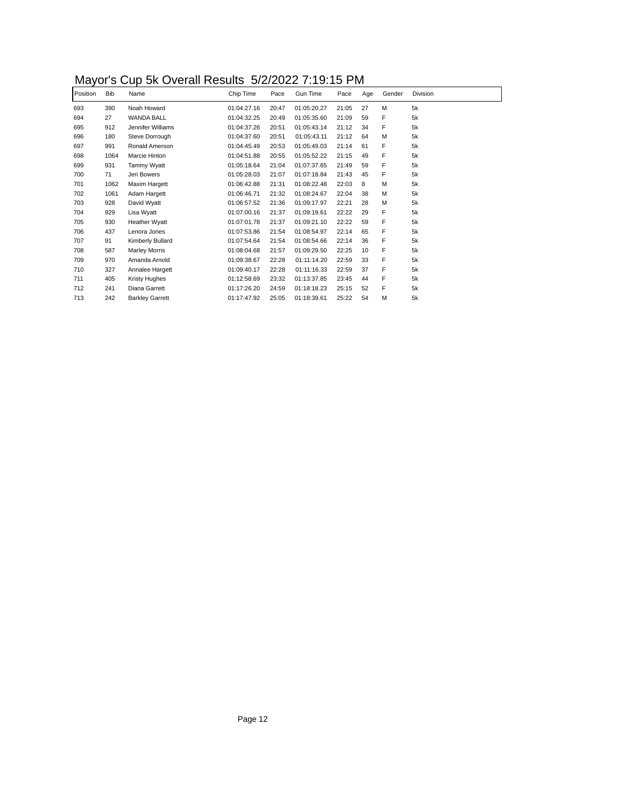# Mayor's Cup 5k Overall Results 5/2/2022 7:19:15 PM

| Position | Bib  | Name                   | Chip Time   | Pace  | Gun Time    | Pace  | Age | Gender | Division |
|----------|------|------------------------|-------------|-------|-------------|-------|-----|--------|----------|
| 693      | 390  | Noah Howard            | 01:04:27.16 | 20:47 | 01:05:20.27 | 21:05 | 27  | M      | 5k       |
| 694      | 27   | <b>WANDA BALL</b>      | 01:04:32.25 | 20:49 | 01:05:35.60 | 21:09 | 59  | F      | 5k       |
| 695      | 912  | Jennifer Williams      | 01:04:37.26 | 20:51 | 01:05:43.14 | 21:12 | 34  | F      | 5k       |
| 696      | 180  | Steve Dorrough         | 01:04:37.60 | 20:51 | 01:05:43.11 | 21:12 | 64  | M      | 5k       |
| 697      | 991  | Ronald Amerson         | 01:04:45.49 | 20:53 | 01:05:49.03 | 21:14 | 61  | F      | 5k       |
| 698      | 1064 | Marcie Hinton          | 01:04:51.88 | 20:55 | 01:05:52.22 | 21:15 | 49  | F      | 5k       |
| 699      | 931  | Tammy Wyatt            | 01:05:18.64 | 21:04 | 01:07:37.65 | 21:49 | 59  | F      | 5k       |
| 700      | 71   | Jeri Bowers            | 01:05:28.03 | 21:07 | 01:07:18.84 | 21:43 | 45  | F      | 5k       |
| 701      | 1062 | Maxim Hargett          | 01:06:42.88 | 21:31 | 01:08:22.48 | 22:03 | 8   | M      | 5k       |
| 702      | 1061 | Adam Hargett           | 01:06:46.71 | 21:32 | 01:08:24.67 | 22:04 | 38  | M      | 5k       |
| 703      | 928  | David Wyatt            | 01:06:57.52 | 21:36 | 01:09:17.97 | 22:21 | 28  | М      | 5k       |
| 704      | 929  | Lisa Wyatt             | 01:07:00.16 | 21:37 | 01:09:19.61 | 22:22 | 29  | F      | 5k       |
| 705      | 930  | Heather Wyatt          | 01:07:01.78 | 21:37 | 01:09:21.10 | 22:22 | 59  | F      | 5k       |
| 706      | 437  | Lenora Jones           | 01:07:53.86 | 21:54 | 01:08:54.97 | 22:14 | 65  | F      | 5k       |
| 707      | 91   | Kimberly Bullard       | 01:07:54.64 | 21:54 | 01:08:54.66 | 22:14 | 36  | F      | 5k       |
| 708      | 587  | <b>Marley Morris</b>   | 01:08:04.68 | 21:57 | 01:09:29.50 | 22:25 | 10  | F      | 5k       |
| 709      | 970  | Amanda Arnold          | 01:09:38.67 | 22:28 | 01:11:14.20 | 22:59 | 33  | F      | 5k       |
| 710      | 327  | Annalee Hargett        | 01:09:40.17 | 22:28 | 01:11:16.33 | 22:59 | 37  | F      | 5k       |
| 711      | 405  | Kristy Hughes          | 01:12:58.69 | 23:32 | 01:13:37.85 | 23:45 | 44  | F      | 5k       |
| 712      | 241  | Diana Garrett          | 01:17:26.20 | 24:59 | 01:18:18.23 | 25:15 | 52  | F      | 5k       |
| 713      | 242  | <b>Barkley Garrett</b> | 01:17:47.92 | 25:05 | 01:18:39.61 | 25:22 | 54  | м      | 5k       |